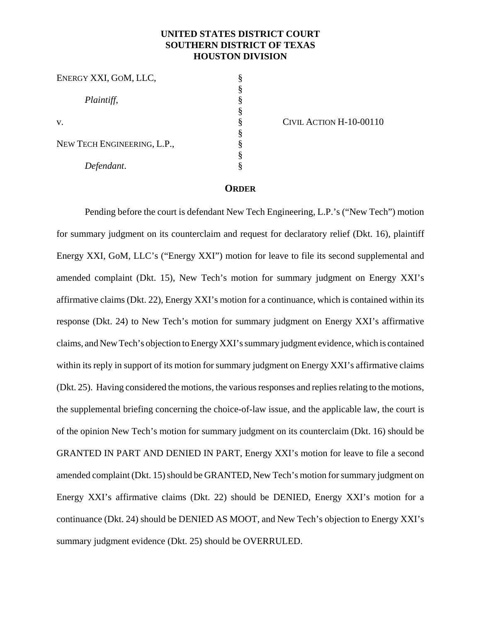# **UNITED STATES DISTRICT COURT SOUTHERN DISTRICT OF TEXAS HOUSTON DIVISION**

| ENERGY XXI, GOM, LLC,       |  |
|-----------------------------|--|
|                             |  |
| Plaintiff,                  |  |
|                             |  |
| V.                          |  |
|                             |  |
| NEW TECH ENGINEERING, L.P., |  |
|                             |  |
| Defendant.                  |  |

CIVIL ACTION H-10-00110

#### **ORDER**

Pending before the court is defendant New Tech Engineering, L.P.'s ("New Tech") motion for summary judgment on its counterclaim and request for declaratory relief (Dkt. 16), plaintiff Energy XXI, GoM, LLC's ("Energy XXI") motion for leave to file its second supplemental and amended complaint (Dkt. 15), New Tech's motion for summary judgment on Energy XXI's affirmative claims (Dkt. 22), Energy XXI's motion for a continuance, which is contained within its response (Dkt. 24) to New Tech's motion for summary judgment on Energy XXI's affirmative claims, and New Tech's objection to Energy XXI's summary judgment evidence, which is contained within its reply in support of its motion for summary judgment on Energy XXI's affirmative claims (Dkt. 25). Having considered the motions, the various responses and replies relating to the motions, the supplemental briefing concerning the choice-of-law issue, and the applicable law, the court is of the opinion New Tech's motion for summary judgment on its counterclaim (Dkt. 16) should be GRANTED IN PART AND DENIED IN PART, Energy XXI's motion for leave to file a second amended complaint (Dkt. 15) should be GRANTED, New Tech's motion for summary judgment on Energy XXI's affirmative claims (Dkt. 22) should be DENIED, Energy XXI's motion for a continuance (Dkt. 24) should be DENIED AS MOOT, and New Tech's objection to Energy XXI's summary judgment evidence (Dkt. 25) should be OVERRULED.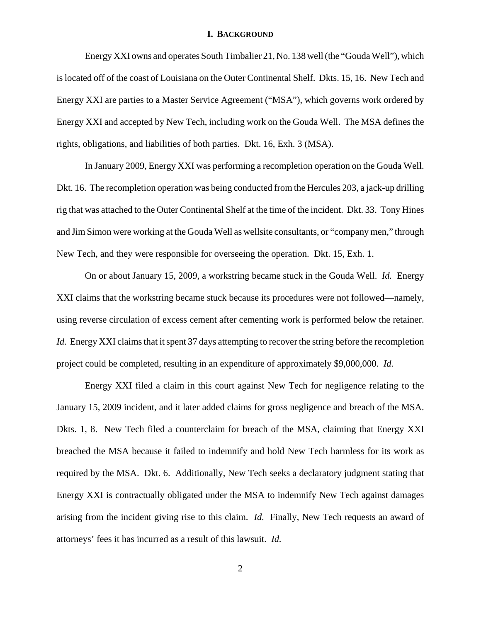#### **I. BACKGROUND**

Energy XXI owns and operates South Timbalier 21, No. 138 well (the "Gouda Well"), which is located off of the coast of Louisiana on the Outer Continental Shelf. Dkts. 15, 16. New Tech and Energy XXI are parties to a Master Service Agreement ("MSA"), which governs work ordered by Energy XXI and accepted by New Tech, including work on the Gouda Well. The MSA defines the rights, obligations, and liabilities of both parties. Dkt. 16, Exh. 3 (MSA).

In January 2009, Energy XXI was performing a recompletion operation on the Gouda Well. Dkt. 16. The recompletion operation was being conducted from the Hercules 203, a jack-up drilling rig that was attached to the Outer Continental Shelf at the time of the incident. Dkt. 33. Tony Hines and Jim Simon were working at the Gouda Well as wellsite consultants, or "company men," through New Tech, and they were responsible for overseeing the operation. Dkt. 15, Exh. 1.

On or about January 15, 2009, a workstring became stuck in the Gouda Well. *Id.* Energy XXI claims that the workstring became stuck because its procedures were not followed—namely, using reverse circulation of excess cement after cementing work is performed below the retainer. *Id.* Energy XXI claims that it spent 37 days attempting to recover the string before the recompletion project could be completed, resulting in an expenditure of approximately \$9,000,000. *Id.*

Energy XXI filed a claim in this court against New Tech for negligence relating to the January 15, 2009 incident, and it later added claims for gross negligence and breach of the MSA. Dkts. 1, 8. New Tech filed a counterclaim for breach of the MSA, claiming that Energy XXI breached the MSA because it failed to indemnify and hold New Tech harmless for its work as required by the MSA. Dkt. 6. Additionally, New Tech seeks a declaratory judgment stating that Energy XXI is contractually obligated under the MSA to indemnify New Tech against damages arising from the incident giving rise to this claim. *Id.* Finally, New Tech requests an award of attorneys' fees it has incurred as a result of this lawsuit. *Id.*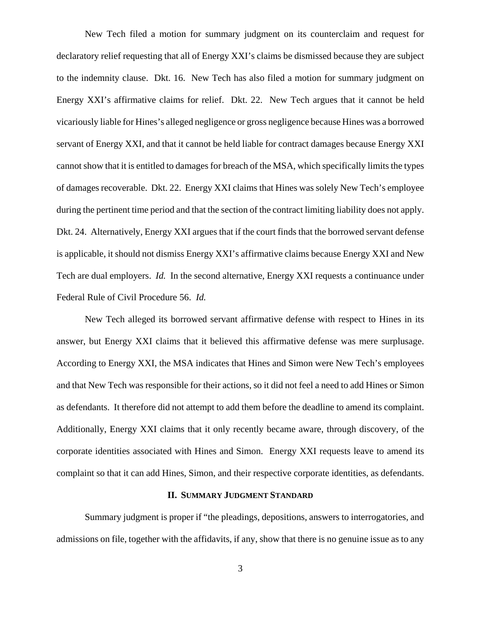New Tech filed a motion for summary judgment on its counterclaim and request for declaratory relief requesting that all of Energy XXI's claims be dismissed because they are subject to the indemnity clause. Dkt. 16. New Tech has also filed a motion for summary judgment on Energy XXI's affirmative claims for relief. Dkt. 22. New Tech argues that it cannot be held vicariously liable for Hines's alleged negligence or gross negligence because Hines was a borrowed servant of Energy XXI, and that it cannot be held liable for contract damages because Energy XXI cannot show that it is entitled to damages for breach of the MSA, which specifically limits the types of damages recoverable. Dkt. 22.Energy XXI claims that Hines was solely New Tech's employee during the pertinent time period and that the section of the contract limiting liability does not apply. Dkt. 24. Alternatively, Energy XXI argues that if the court finds that the borrowed servant defense is applicable, it should not dismiss Energy XXI's affirmative claims because Energy XXI and New Tech are dual employers. *Id.* In the second alternative, Energy XXI requests a continuance under Federal Rule of Civil Procedure 56. *Id.*

New Tech alleged its borrowed servant affirmative defense with respect to Hines in its answer, but Energy XXI claims that it believed this affirmative defense was mere surplusage. According to Energy XXI, the MSA indicates that Hines and Simon were New Tech's employees and that New Tech was responsible for their actions, so it did not feel a need to add Hines or Simon as defendants. It therefore did not attempt to add them before the deadline to amend its complaint. Additionally, Energy XXI claims that it only recently became aware, through discovery, of the corporate identities associated with Hines and Simon. Energy XXI requests leave to amend its complaint so that it can add Hines, Simon, and their respective corporate identities, as defendants.

#### **II. SUMMARY JUDGMENT STANDARD**

Summary judgment is proper if "the pleadings, depositions, answers to interrogatories, and admissions on file, together with the affidavits, if any, show that there is no genuine issue as to any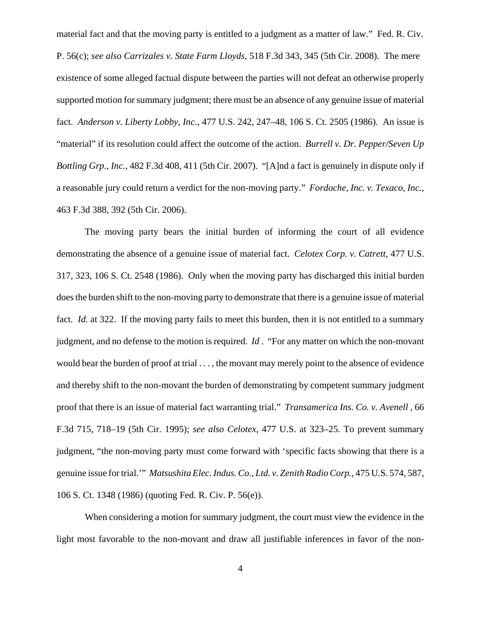material fact and that the moving party is entitled to a judgment as a matter of law." Fed. R. Civ. P. 56(c); *see also Carrizales v. State Farm Lloyds*, 518 F.3d 343, 345 (5th Cir. 2008). The mere existence of some alleged factual dispute between the parties will not defeat an otherwise properly supported motion for summary judgment; there must be an absence of any genuine issue of material fact. *Anderson v. Liberty Lobby, Inc*., 477 U.S. 242, 247–48, 106 S. Ct. 2505 (1986). An issue is "material" if its resolution could affect the outcome of the action. *Burrell v. Dr. Pepper/Seven Up Bottling Grp., Inc.*, 482 F.3d 408, 411 (5th Cir. 2007). "[A]nd a fact is genuinely in dispute only if a reasonable jury could return a verdict for the non-moving party." *Fordoche, Inc. v. Texaco, Inc.*, 463 F.3d 388, 392 (5th Cir. 2006).

The moving party bears the initial burden of informing the court of all evidence demonstrating the absence of a genuine issue of material fact. *Celotex Corp. v. Catrett*, 477 U.S. 317, 323, 106 S. Ct. 2548 (1986). Only when the moving party has discharged this initial burden does the burden shift to the non-moving party to demonstrate that there is a genuine issue of material fact. *Id.* at 322. If the moving party fails to meet this burden, then it is not entitled to a summary judgment, and no defense to the motion is required. *Id* . "For any matter on which the non-movant would bear the burden of proof at trial . . . , the movant may merely point to the absence of evidence and thereby shift to the non-movant the burden of demonstrating by competent summary judgment proof that there is an issue of material fact warranting trial." *Transamerica Ins. Co. v. Avenell* , 66 F.3d 715, 718–19 (5th Cir. 1995); *see also Celotex*, 477 U.S. at 323–25. To prevent summary judgment, "the non-moving party must come forward with 'specific facts showing that there is a genuine issue for trial.'" *Matsushita Elec. Indus. Co., Ltd. v. Zenith Radio Corp.*, 475 U.S. 574, 587, 106 S. Ct. 1348 (1986) (quoting Fed. R. Civ. P. 56(e)).

When considering a motion for summary judgment, the court must view the evidence in the light most favorable to the non-movant and draw all justifiable inferences in favor of the non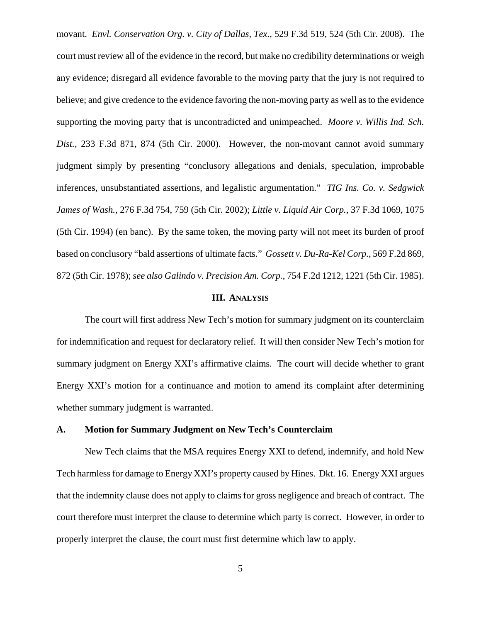movant. *Envl. Conservation Org. v. City of Dallas, Tex.*, 529 F.3d 519, 524 (5th Cir. 2008). The court must review all of the evidence in the record, but make no credibility determinations or weigh any evidence; disregard all evidence favorable to the moving party that the jury is not required to believe; and give credence to the evidence favoring the non-moving party as well as to the evidence supporting the moving party that is uncontradicted and unimpeached. *Moore v. Willis Ind. Sch. Dist.*, 233 F.3d 871, 874 (5th Cir. 2000). However, the non-movant cannot avoid summary judgment simply by presenting "conclusory allegations and denials, speculation, improbable inferences, unsubstantiated assertions, and legalistic argumentation." *TIG Ins. Co. v. Sedgwick James of Wash.*, 276 F.3d 754, 759 (5th Cir. 2002); *Little v. Liquid Air Corp.*, 37 F.3d 1069, 1075 (5th Cir. 1994) (en banc). By the same token, the moving party will not meet its burden of proof based on conclusory "bald assertions of ultimate facts." *Gossett v. Du-Ra-Kel Corp.*, 569 F.2d 869, 872 (5th Cir. 1978); *see also Galindo v. Precision Am. Corp.*, 754 F.2d 1212, 1221 (5th Cir. 1985).

## **III. ANALYSIS**

The court will first address New Tech's motion for summary judgment on its counterclaim for indemnification and request for declaratory relief. It will then consider New Tech's motion for summary judgment on Energy XXI's affirmative claims. The court will decide whether to grant Energy XXI's motion for a continuance and motion to amend its complaint after determining whether summary judgment is warranted.

### **A. Motion for Summary Judgment on New Tech's Counterclaim**

New Tech claims that the MSA requires Energy XXI to defend, indemnify, and hold New Tech harmless for damage to Energy XXI's property caused by Hines. Dkt. 16. Energy XXI argues that the indemnity clause does not apply to claims for gross negligence and breach of contract. The court therefore must interpret the clause to determine which party is correct. However, in order to properly interpret the clause, the court must first determine which law to apply.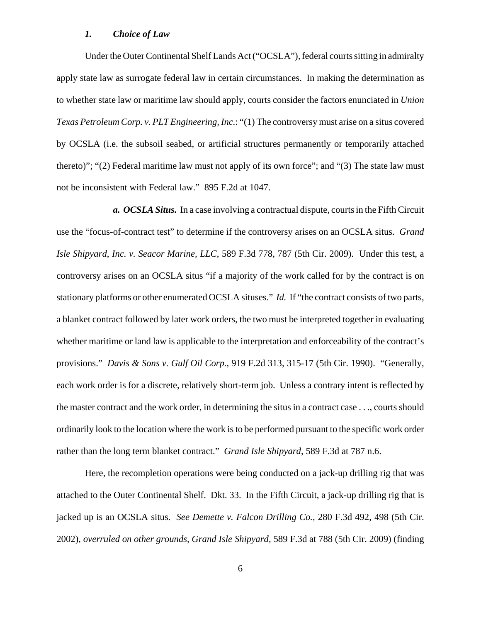#### *1. Choice of Law*

Under the Outer Continental Shelf Lands Act ("OCSLA"), federal courts sitting in admiralty apply state law as surrogate federal law in certain circumstances. In making the determination as to whether state law or maritime law should apply, courts consider the factors enunciated in *Union Texas Petroleum Corp. v. PLT Engineering, Inc.*: "(1) The controversy must arise on a situs covered by OCSLA (i.e. the subsoil seabed, or artificial structures permanently or temporarily attached thereto)"; "(2) Federal maritime law must not apply of its own force"; and "(3) The state law must not be inconsistent with Federal law." 895 F.2d at 1047.

*a. OCSLA Situs.* In a case involving a contractual dispute, courts in the Fifth Circuit use the "focus-of-contract test" to determine if the controversy arises on an OCSLA situs. *Grand Isle Shipyard*, *Inc. v. Seacor Marine, LLC*, 589 F.3d 778, 787 (5th Cir. 2009). Under this test, a controversy arises on an OCSLA situs "if a majority of the work called for by the contract is on stationary platforms or other enumerated OCSLA situses." *Id.* If "the contract consists of two parts, a blanket contract followed by later work orders, the two must be interpreted together in evaluating whether maritime or land law is applicable to the interpretation and enforceability of the contract's provisions." *Davis & Sons v. Gulf Oil Corp.*, 919 F.2d 313, 315-17 (5th Cir. 1990). "Generally, each work order is for a discrete, relatively short-term job. Unless a contrary intent is reflected by the master contract and the work order, in determining the situs in a contract case . . ., courts should ordinarily look to the location where the work is to be performed pursuant to the specific work order rather than the long term blanket contract." *Grand Isle Shipyard*, 589 F.3d at 787 n.6.

Here, the recompletion operations were being conducted on a jack-up drilling rig that was attached to the Outer Continental Shelf. Dkt. 33. In the Fifth Circuit, a jack-up drilling rig that is jacked up is an OCSLA situs. *See Demette v. Falcon Drilling Co.*, 280 F.3d 492, 498 (5th Cir. 2002), *overruled on other grounds, Grand Isle Shipyard*, 589 F.3d at 788 (5th Cir. 2009) (finding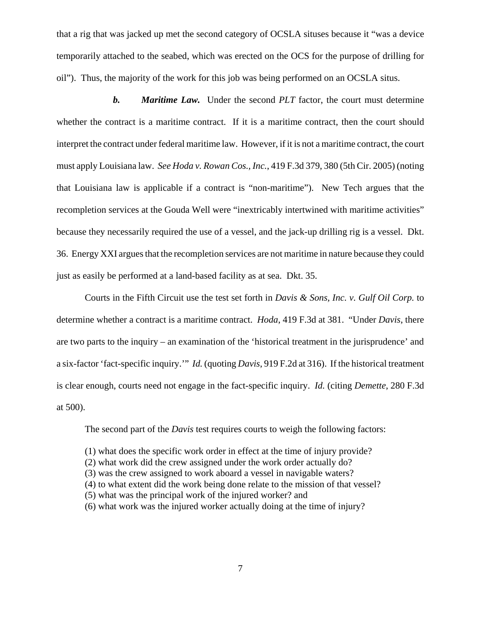that a rig that was jacked up met the second category of OCSLA situses because it "was a device temporarily attached to the seabed, which was erected on the OCS for the purpose of drilling for oil"). Thus, the majority of the work for this job was being performed on an OCSLA situs.

*b. Maritime Law.* Under the second *PLT* factor, the court must determine whether the contract is a maritime contract. If it is a maritime contract, then the court should interpret the contract under federal maritime law. However, if it is not a maritime contract, the court must apply Louisiana law. *See Hoda v. Rowan Cos., Inc.*, 419 F.3d 379, 380 (5th Cir. 2005) (noting that Louisiana law is applicable if a contract is "non-maritime"). New Tech argues that the recompletion services at the Gouda Well were "inextricably intertwined with maritime activities" because they necessarily required the use of a vessel, and the jack-up drilling rig is a vessel. Dkt. 36. Energy XXI argues that the recompletion services are not maritime in nature because they could just as easily be performed at a land-based facility as at sea. Dkt. 35.

Courts in the Fifth Circuit use the test set forth in *Davis & Sons, Inc. v. Gulf Oil Corp.* to determine whether a contract is a maritime contract. *Hoda*, 419 F.3d at 381. "Under *Davis*, there are two parts to the inquiry – an examination of the 'historical treatment in the jurisprudence' and a six-factor 'fact-specific inquiry.'" *Id.* (quoting *Davis*, 919 F.2d at 316). If the historical treatment is clear enough, courts need not engage in the fact-specific inquiry. *Id.* (citing *Demette*, 280 F.3d at 500).

The second part of the *Davis* test requires courts to weigh the following factors:

- (1) what does the specific work order in effect at the time of injury provide?
- (2) what work did the crew assigned under the work order actually do?
- (3) was the crew assigned to work aboard a vessel in navigable waters?
- (4) to what extent did the work being done relate to the mission of that vessel?
- (5) what was the principal work of the injured worker? and
- (6) what work was the injured worker actually doing at the time of injury?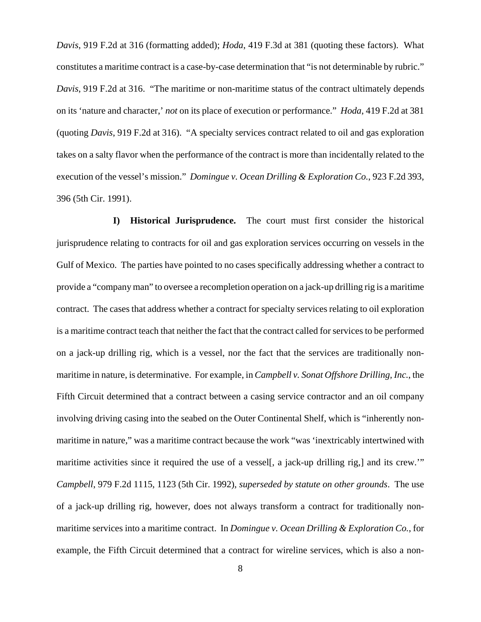*Davis*, 919 F.2d at 316 (formatting added); *Hoda*, 419 F.3d at 381 (quoting these factors). What constitutes a maritime contract is a case-by-case determination that "is not determinable by rubric." *Davis*, 919 F.2d at 316. "The maritime or non-maritime status of the contract ultimately depends on its 'nature and character,' *not* on its place of execution or performance." *Hoda*, 419 F.2d at 381 (quoting *Davis*, 919 F.2d at 316). "A specialty services contract related to oil and gas exploration takes on a salty flavor when the performance of the contract is more than incidentally related to the execution of the vessel's mission." *Domingue v. Ocean Drilling & Exploration Co.*, 923 F.2d 393, 396 (5th Cir. 1991).

**I) Historical Jurisprudence.**The court must first consider the historical jurisprudence relating to contracts for oil and gas exploration services occurring on vessels in the Gulf of Mexico. The parties have pointed to no cases specifically addressing whether a contract to provide a "company man" to oversee a recompletion operation on a jack-up drilling rig is a maritime contract. The cases that address whether a contract for specialty services relating to oil exploration is a maritime contract teach that neither the fact that the contract called for services to be performed on a jack-up drilling rig, which is a vessel, nor the fact that the services are traditionally nonmaritime in nature, is determinative. For example, in *Campbell v. Sonat Offshore Drilling, Inc.*, the Fifth Circuit determined that a contract between a casing service contractor and an oil company involving driving casing into the seabed on the Outer Continental Shelf, which is "inherently nonmaritime in nature," was a maritime contract because the work "was 'inextricably intertwined with maritime activities since it required the use of a vesself, a jack-up drilling rig, and its crew." *Campbell*, 979 F.2d 1115, 1123 (5th Cir. 1992), *superseded by statute on other grounds*. The use of a jack-up drilling rig, however, does not always transform a contract for traditionally nonmaritime services into a maritime contract. In *Domingue v. Ocean Drilling & Exploration Co.*, for example, the Fifth Circuit determined that a contract for wireline services, which is also a non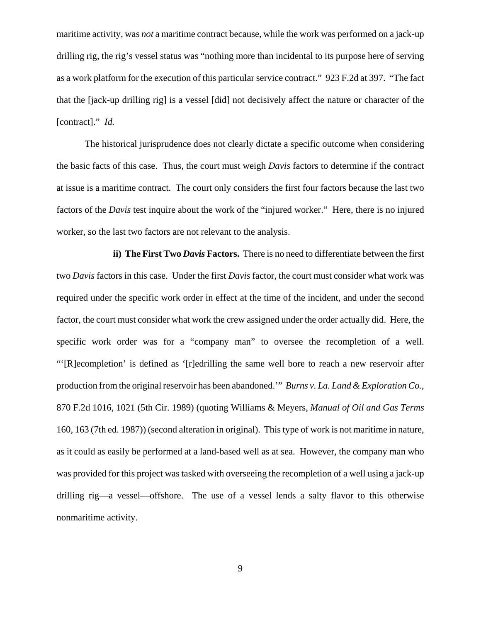maritime activity, was *not* a maritime contract because, while the work was performed on a jack-up drilling rig, the rig's vessel status was "nothing more than incidental to its purpose here of serving as a work platform for the execution of this particular service contract." 923 F.2d at 397. "The fact that the [jack-up drilling rig] is a vessel [did] not decisively affect the nature or character of the [contract]." *Id.* 

The historical jurisprudence does not clearly dictate a specific outcome when considering the basic facts of this case. Thus, the court must weigh *Davis* factors to determine if the contract at issue is a maritime contract. The court only considers the first four factors because the last two factors of the *Davis* test inquire about the work of the "injured worker." Here, there is no injured worker, so the last two factors are not relevant to the analysis.

**ii) The First Two** *Davis* **Factors.** There is no need to differentiate between the first two *Davis* factors in this case. Under the first *Davis* factor, the court must consider what work was required under the specific work order in effect at the time of the incident, and under the second factor, the court must consider what work the crew assigned under the order actually did. Here, the specific work order was for a "company man" to oversee the recompletion of a well. "'[R]ecompletion' is defined as '[r]edrilling the same well bore to reach a new reservoir after production from the original reservoir has been abandoned.'" *Burns v. La. Land & Exploration Co.*, 870 F.2d 1016, 1021 (5th Cir. 1989) (quoting Williams & Meyers, *Manual of Oil and Gas Terms* 160, 163 (7th ed. 1987)) (second alteration in original). This type of work is not maritime in nature, as it could as easily be performed at a land-based well as at sea. However, the company man who was provided for this project was tasked with overseeing the recompletion of a well using a jack-up drilling rig—a vessel—offshore. The use of a vessel lends a salty flavor to this otherwise nonmaritime activity.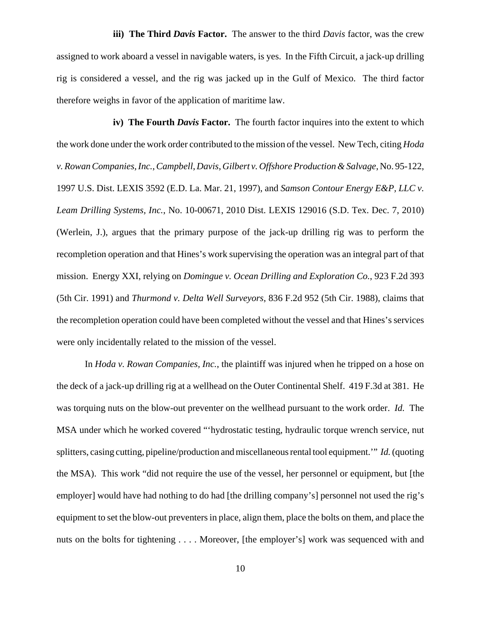**iii) The Third** *Davis* **Factor.**The answer to the third *Davis* factor, was the crew assigned to work aboard a vessel in navigable waters, is yes. In the Fifth Circuit, a jack-up drilling rig is considered a vessel, and the rig was jacked up in the Gulf of Mexico. The third factor therefore weighs in favor of the application of maritime law.

**iv)** The Fourth *Davis* Factor. The fourth factor inquires into the extent to which the work done under the work order contributed to the mission of the vessel. New Tech, citing *Hoda v. Rowan Companies, Inc.*, *Campbell*, *Davis*, *Gilbert v. Offshore Production & Salvage*, No. 95-122, 1997 U.S. Dist. LEXIS 3592 (E.D. La. Mar. 21, 1997), and *Samson Contour Energy E&P, LLC v. Leam Drilling Systems, Inc.*, No. 10-00671, 2010 Dist. LEXIS 129016 (S.D. Tex. Dec. 7, 2010) (Werlein, J.), argues that the primary purpose of the jack-up drilling rig was to perform the recompletion operation and that Hines's work supervising the operation was an integral part of that mission. Energy XXI, relying on *Domingue v. Ocean Drilling and Exploration Co.*, 923 F.2d 393 (5th Cir. 1991) and *Thurmond v. Delta Well Surveyors*, 836 F.2d 952 (5th Cir. 1988), claims that the recompletion operation could have been completed without the vessel and that Hines's services were only incidentally related to the mission of the vessel.

In *Hoda v. Rowan Companies, Inc.*, the plaintiff was injured when he tripped on a hose on the deck of a jack-up drilling rig at a wellhead on the Outer Continental Shelf. 419 F.3d at 381. He was torquing nuts on the blow-out preventer on the wellhead pursuant to the work order. *Id.* The MSA under which he worked covered "'hydrostatic testing, hydraulic torque wrench service, nut splitters, casing cutting, pipeline/production and miscellaneous rental tool equipment.'" *Id.* (quoting the MSA). This work "did not require the use of the vessel, her personnel or equipment, but [the employer] would have had nothing to do had [the drilling company's] personnel not used the rig's equipment to set the blow-out preventers in place, align them, place the bolts on them, and place the nuts on the bolts for tightening . . . . Moreover, [the employer's] work was sequenced with and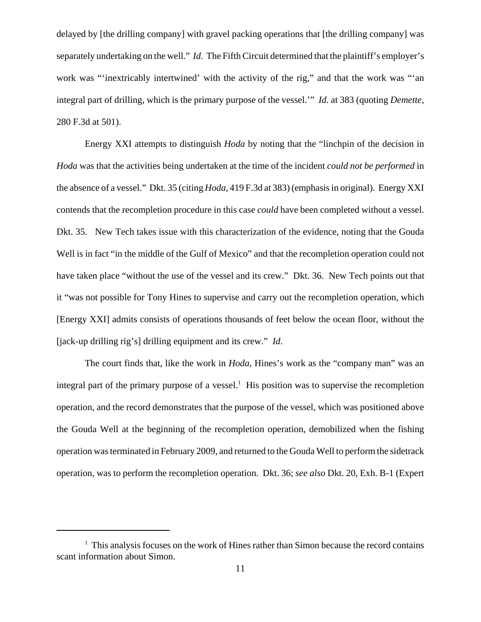delayed by [the drilling company] with gravel packing operations that [the drilling company] was separately undertaking on the well." *Id.* The Fifth Circuit determined that the plaintiff's employer's work was "'inextricably intertwined' with the activity of the rig," and that the work was "'an integral part of drilling, which is the primary purpose of the vessel.'" *Id.* at 383 (quoting *Demette*, 280 F.3d at 501).

Energy XXI attempts to distinguish *Hoda* by noting that the "linchpin of the decision in *Hoda* was that the activities being undertaken at the time of the incident *could not be performed* in the absence of a vessel." Dkt. 35 (citing *Hoda*, 419 F.3d at 383) (emphasis in original). Energy XXI contends that the recompletion procedure in this case *could* have been completed without a vessel. Dkt. 35. New Tech takes issue with this characterization of the evidence, noting that the Gouda Well is in fact "in the middle of the Gulf of Mexico" and that the recompletion operation could not have taken place "without the use of the vessel and its crew." Dkt. 36. New Tech points out that it "was not possible for Tony Hines to supervise and carry out the recompletion operation, which [Energy XXI] admits consists of operations thousands of feet below the ocean floor, without the [jack-up drilling rig's] drilling equipment and its crew." *Id*.

The court finds that, like the work in *Hoda*, Hines's work as the "company man" was an integral part of the primary purpose of a vessel.<sup>1</sup> His position was to supervise the recompletion operation, and the record demonstrates that the purpose of the vessel, which was positioned above the Gouda Well at the beginning of the recompletion operation, demobilized when the fishing operation was terminated in February 2009, and returned to the Gouda Well to perform the sidetrack operation, was to perform the recompletion operation. Dkt. 36; *see also* Dkt. 20, Exh. B-1 (Expert

<sup>&</sup>lt;sup>1</sup> This analysis focuses on the work of Hines rather than Simon because the record contains scant information about Simon.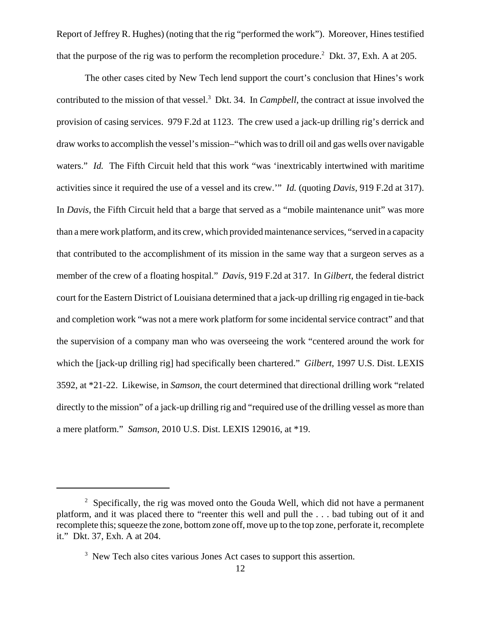Report of Jeffrey R. Hughes) (noting that the rig "performed the work"). Moreover, Hines testified that the purpose of the rig was to perform the recompletion procedure.<sup>2</sup> Dkt. 37, Exh. A at 205.

The other cases cited by New Tech lend support the court's conclusion that Hines's work contributed to the mission of that vessel.<sup>3</sup> Dkt. 34. In *Campbell*, the contract at issue involved the provision of casing services. 979 F.2d at 1123. The crew used a jack-up drilling rig's derrick and draw worksto accomplish the vessel's mission–"which wasto drill oil and gas wells over navigable waters." *Id.* The Fifth Circuit held that this work "was 'inextricably intertwined with maritime activities since it required the use of a vessel and its crew.'" *Id.* (quoting *Davis*, 919 F.2d at 317). In *Davis*, the Fifth Circuit held that a barge that served as a "mobile maintenance unit" was more than a mere work platform, and its crew, which provided maintenance services, "served in a capacity that contributed to the accomplishment of its mission in the same way that a surgeon serves as a member of the crew of a floating hospital." *Davis*, 919 F.2d at 317. In *Gilbert*, the federal district court for the Eastern District of Louisiana determined that a jack-up drilling rig engaged in tie-back and completion work "was not a mere work platform for some incidental service contract" and that the supervision of a company man who was overseeing the work "centered around the work for which the [jack-up drilling rig] had specifically been chartered." *Gilbert*, 1997 U.S. Dist. LEXIS 3592, at \*21-22. Likewise, in *Samson*, the court determined that directional drilling work "related directly to the mission" of a jack-up drilling rig and "required use of the drilling vessel as more than a mere platform." *Samson*, 2010 U.S. Dist. LEXIS 129016, at \*19.

 $2^2$  Specifically, the rig was moved onto the Gouda Well, which did not have a permanent platform, and it was placed there to "reenter this well and pull the . . . bad tubing out of it and recomplete this; squeeze the zone, bottom zone off, move up to the top zone, perforate it, recomplete it." Dkt. 37, Exh. A at 204.

<sup>&</sup>lt;sup>3</sup> New Tech also cites various Jones Act cases to support this assertion.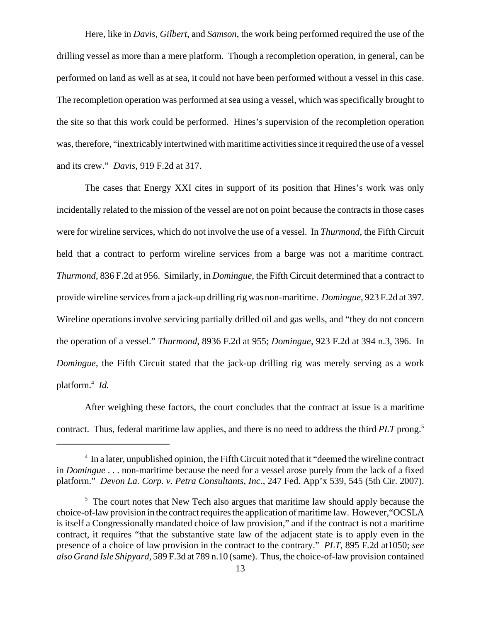Here, like in *Davis*, *Gilbert*, and *Samson*, the work being performed required the use of the drilling vessel as more than a mere platform. Though a recompletion operation, in general, can be performed on land as well as at sea, it could not have been performed without a vessel in this case. The recompletion operation was performed at sea using a vessel, which was specifically brought to the site so that this work could be performed. Hines's supervision of the recompletion operation was, therefore, "inextricably intertwined with maritime activities since it required the use of a vessel and its crew." *Davis*, 919 F.2d at 317.

The cases that Energy XXI cites in support of its position that Hines's work was only incidentally related to the mission of the vessel are not on point because the contracts in those cases were for wireline services, which do not involve the use of a vessel. In *Thurmond*, the Fifth Circuit held that a contract to perform wireline services from a barge was not a maritime contract. *Thurmond*, 836 F.2d at 956. Similarly, in *Domingue*, the Fifth Circuit determined that a contract to provide wireline services from a jack-up drilling rig was non-maritime. *Domingue*, 923 F.2d at 397. Wireline operations involve servicing partially drilled oil and gas wells, and "they do not concern the operation of a vessel." *Thurmond*, 8936 F.2d at 955; *Domingue*, 923 F.2d at 394 n.3, 396. In *Domingue*, the Fifth Circuit stated that the jack-up drilling rig was merely serving as a work platform.4 *Id.*

After weighing these factors, the court concludes that the contract at issue is a maritime contract. Thus, federal maritime law applies, and there is no need to address the third *PLT* prong.5

<sup>&</sup>lt;sup>4</sup> In a later, unpublished opinion, the Fifth Circuit noted that it "deemed the wireline contract in *Domingue* . . . non-maritime because the need for a vessel arose purely from the lack of a fixed platform." *Devon La. Corp. v. Petra Consultants, Inc.*, 247 Fed. App'x 539, 545 (5th Cir. 2007).

<sup>&</sup>lt;sup>5</sup> The court notes that New Tech also argues that maritime law should apply because the choice-of-law provision in the contract requires the application of maritime law. However,"OCSLA is itself a Congressionally mandated choice of law provision," and if the contract is not a maritime contract, it requires "that the substantive state law of the adjacent state is to apply even in the presence of a choice of law provision in the contract to the contrary." *PLT*, 895 F.2d at1050; *see also Grand Isle Shipyard*, 589 F.3d at 789 n.10 (same). Thus, the choice-of-law provision contained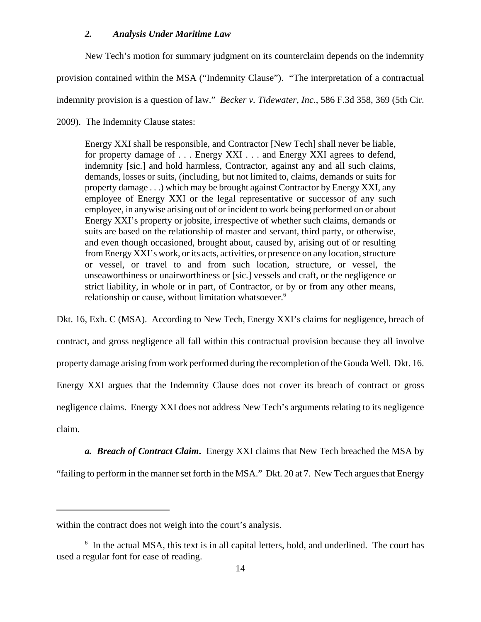### *2. Analysis Under Maritime Law*

New Tech's motion for summary judgment on its counterclaim depends on the indemnity

provision contained within the MSA ("Indemnity Clause"). "The interpretation of a contractual

indemnity provision is a question of law." *Becker v. Tidewater, Inc.*, 586 F.3d 358, 369 (5th Cir.

### 2009). The Indemnity Clause states:

Energy XXI shall be responsible, and Contractor [New Tech] shall never be liable, for property damage of . . . Energy XXI . . . and Energy XXI agrees to defend, indemnity [sic.] and hold harmless, Contractor, against any and all such claims, demands, losses or suits, (including, but not limited to, claims, demands or suits for property damage . . .) which may be brought against Contractor by Energy XXI, any employee of Energy XXI or the legal representative or successor of any such employee, in anywise arising out of or incident to work being performed on or about Energy XXI's property or jobsite, irrespective of whether such claims, demands or suits are based on the relationship of master and servant, third party, or otherwise, and even though occasioned, brought about, caused by, arising out of or resulting from Energy XXI's work, or its acts, activities, or presence on any location, structure or vessel, or travel to and from such location, structure, or vessel, the unseaworthiness or unairworthiness or [sic.] vessels and craft, or the negligence or strict liability, in whole or in part, of Contractor, or by or from any other means, relationship or cause, without limitation whatsoever.<sup>6</sup>

Dkt. 16, Exh. C (MSA). According to New Tech, Energy XXI's claims for negligence, breach of contract, and gross negligence all fall within this contractual provision because they all involve property damage arising from work performed during the recompletion of the Gouda Well. Dkt. 16. Energy XXI argues that the Indemnity Clause does not cover its breach of contract or gross negligence claims. Energy XXI does not address New Tech's arguments relating to its negligence claim.

*a. Breach of Contract Claim***.** Energy XXI claims that New Tech breached the MSA by "failing to perform in the manner set forth in the MSA." Dkt. 20 at 7. New Tech argues that Energy

within the contract does not weigh into the court's analysis.

<sup>&</sup>lt;sup>6</sup> In the actual MSA, this text is in all capital letters, bold, and underlined. The court has used a regular font for ease of reading.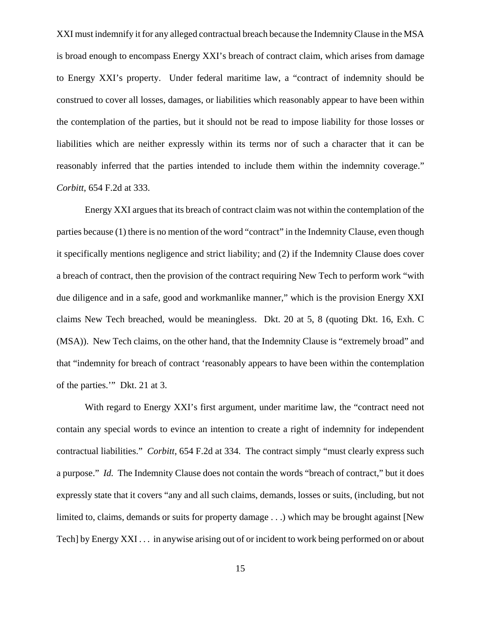XXI must indemnify it for any alleged contractual breach because the Indemnity Clause in the MSA is broad enough to encompass Energy XXI's breach of contract claim, which arises from damage to Energy XXI's property. Under federal maritime law, a "contract of indemnity should be construed to cover all losses, damages, or liabilities which reasonably appear to have been within the contemplation of the parties, but it should not be read to impose liability for those losses or liabilities which are neither expressly within its terms nor of such a character that it can be reasonably inferred that the parties intended to include them within the indemnity coverage." *Corbitt*, 654 F.2d at 333.

Energy XXI argues that its breach of contract claim was not within the contemplation of the parties because (1) there is no mention of the word "contract" in the Indemnity Clause, even though it specifically mentions negligence and strict liability; and (2) if the Indemnity Clause does cover a breach of contract, then the provision of the contract requiring New Tech to perform work "with due diligence and in a safe, good and workmanlike manner," which is the provision Energy XXI claims New Tech breached, would be meaningless. Dkt. 20 at 5, 8 (quoting Dkt. 16, Exh. C (MSA)). New Tech claims, on the other hand, that the Indemnity Clause is "extremely broad" and that "indemnity for breach of contract 'reasonably appears to have been within the contemplation of the parties.'" Dkt. 21 at 3.

With regard to Energy XXI's first argument, under maritime law, the "contract need not contain any special words to evince an intention to create a right of indemnity for independent contractual liabilities." *Corbitt*, 654 F.2d at 334. The contract simply "must clearly express such a purpose." *Id.* The Indemnity Clause does not contain the words "breach of contract," but it does expressly state that it covers "any and all such claims, demands, losses or suits, (including, but not limited to, claims, demands or suits for property damage . . .) which may be brought against [New Tech] by Energy XXI . . . in anywise arising out of or incident to work being performed on or about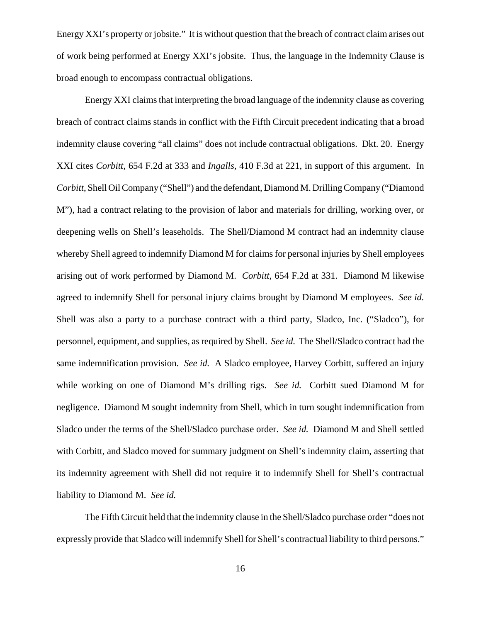Energy XXI's property or jobsite." It is without question that the breach of contract claim arises out of work being performed at Energy XXI's jobsite. Thus, the language in the Indemnity Clause is broad enough to encompass contractual obligations.

Energy XXI claims that interpreting the broad language of the indemnity clause as covering breach of contract claims stands in conflict with the Fifth Circuit precedent indicating that a broad indemnity clause covering "all claims" does not include contractual obligations. Dkt. 20. Energy XXI cites *Corbitt*, 654 F.2d at 333 and *Ingalls*, 410 F.3d at 221, in support of this argument. In *Corbitt*, Shell Oil Company ("Shell") and the defendant, Diamond M. Drilling Company ("Diamond M"), had a contract relating to the provision of labor and materials for drilling, working over, or deepening wells on Shell's leaseholds. The Shell/Diamond M contract had an indemnity clause whereby Shell agreed to indemnify Diamond M for claims for personal injuries by Shell employees arising out of work performed by Diamond M. *Corbitt*, 654 F.2d at 331. Diamond M likewise agreed to indemnify Shell for personal injury claims brought by Diamond M employees. *See id.* Shell was also a party to a purchase contract with a third party, Sladco, Inc. ("Sladco"), for personnel, equipment, and supplies, as required by Shell. *See id.* The Shell/Sladco contract had the same indemnification provision. *See id.* A Sladco employee, Harvey Corbitt, suffered an injury while working on one of Diamond M's drilling rigs. *See id.* Corbitt sued Diamond M for negligence. Diamond M sought indemnity from Shell, which in turn sought indemnification from Sladco under the terms of the Shell/Sladco purchase order. *See id.* Diamond M and Shell settled with Corbitt, and Sladco moved for summary judgment on Shell's indemnity claim, asserting that its indemnity agreement with Shell did not require it to indemnify Shell for Shell's contractual liability to Diamond M. *See id.*

The Fifth Circuit held that the indemnity clause in the Shell/Sladco purchase order "does not expressly provide that Sladco will indemnify Shell for Shell's contractual liability to third persons."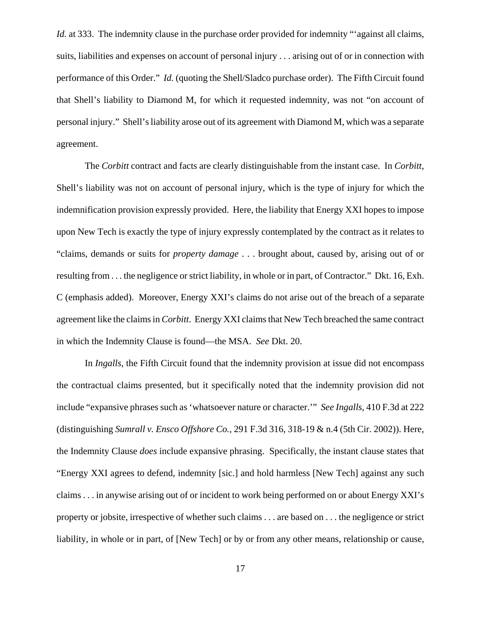*Id.* at 333. The indemnity clause in the purchase order provided for indemnity "against all claims, suits, liabilities and expenses on account of personal injury . . . arising out of or in connection with performance of this Order." *Id.* (quoting the Shell/Sladco purchase order). The Fifth Circuit found that Shell's liability to Diamond M, for which it requested indemnity, was not "on account of personal injury." Shell's liability arose out of its agreement with Diamond M, which was a separate agreement.

The *Corbitt* contract and facts are clearly distinguishable from the instant case. In *Corbitt*, Shell's liability was not on account of personal injury, which is the type of injury for which the indemnification provision expressly provided. Here, the liability that Energy XXI hopes to impose upon New Tech is exactly the type of injury expressly contemplated by the contract as it relates to "claims, demands or suits for *property damage* . . . brought about, caused by, arising out of or resulting from . . . the negligence or strict liability, in whole or in part, of Contractor." Dkt. 16, Exh. C (emphasis added). Moreover, Energy XXI's claims do not arise out of the breach of a separate agreement like the claims in *Corbitt*. Energy XXI claims that New Tech breached the same contract in which the Indemnity Clause is found—the MSA. *See* Dkt. 20.

In *Ingalls*, the Fifth Circuit found that the indemnity provision at issue did not encompass the contractual claims presented, but it specifically noted that the indemnity provision did not include "expansive phrases such as 'whatsoever nature or character.'" *See Ingalls*, 410 F.3d at 222 (distinguishing *Sumrall v. Ensco Offshore Co.*, 291 F.3d 316, 318-19 & n.4 (5th Cir. 2002)). Here, the Indemnity Clause *does* include expansive phrasing. Specifically, the instant clause states that "Energy XXI agrees to defend, indemnity [sic.] and hold harmless [New Tech] against any such claims . . . in anywise arising out of or incident to work being performed on or about Energy XXI's property or jobsite, irrespective of whether such claims . . . are based on . . . the negligence or strict liability, in whole or in part, of [New Tech] or by or from any other means, relationship or cause,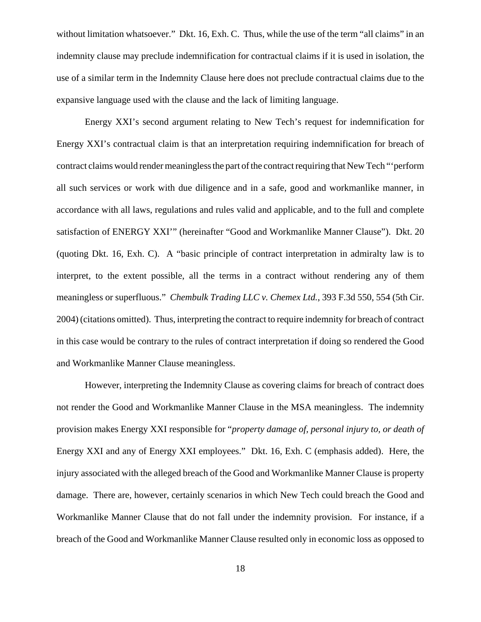without limitation whatsoever." Dkt. 16, Exh. C. Thus, while the use of the term "all claims" in an indemnity clause may preclude indemnification for contractual claims if it is used in isolation, the use of a similar term in the Indemnity Clause here does not preclude contractual claims due to the expansive language used with the clause and the lack of limiting language.

Energy XXI's second argument relating to New Tech's request for indemnification for Energy XXI's contractual claim is that an interpretation requiring indemnification for breach of contract claims would render meaningless the part of the contract requiring that New Tech "'perform all such services or work with due diligence and in a safe, good and workmanlike manner, in accordance with all laws, regulations and rules valid and applicable, and to the full and complete satisfaction of ENERGY XXI'" (hereinafter "Good and Workmanlike Manner Clause"). Dkt. 20 (quoting Dkt. 16, Exh. C). A "basic principle of contract interpretation in admiralty law is to interpret, to the extent possible, all the terms in a contract without rendering any of them meaningless or superfluous." *Chembulk Trading LLC v. Chemex Ltd.*, 393 F.3d 550, 554 (5th Cir. 2004) (citations omitted). Thus, interpreting the contract to require indemnity for breach of contract in this case would be contrary to the rules of contract interpretation if doing so rendered the Good and Workmanlike Manner Clause meaningless.

However, interpreting the Indemnity Clause as covering claims for breach of contract does not render the Good and Workmanlike Manner Clause in the MSA meaningless. The indemnity provision makes Energy XXI responsible for "*property damage of, personal injury to, or death of* Energy XXI and any of Energy XXI employees." Dkt. 16, Exh. C (emphasis added). Here, the injury associated with the alleged breach of the Good and Workmanlike Manner Clause is property damage. There are, however, certainly scenarios in which New Tech could breach the Good and Workmanlike Manner Clause that do not fall under the indemnity provision. For instance, if a breach of the Good and Workmanlike Manner Clause resulted only in economic loss as opposed to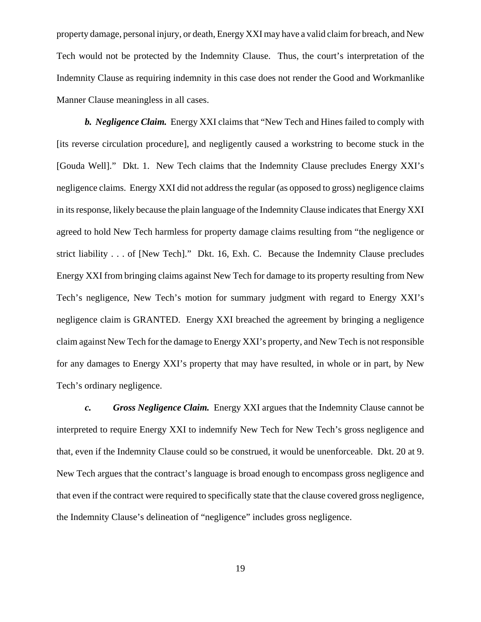property damage, personal injury, or death, Energy XXI may have a valid claim for breach, and New Tech would not be protected by the Indemnity Clause. Thus, the court's interpretation of the Indemnity Clause as requiring indemnity in this case does not render the Good and Workmanlike Manner Clause meaningless in all cases.

*b. Negligence Claim.* Energy XXI claims that "New Tech and Hines failed to comply with [its reverse circulation procedure], and negligently caused a workstring to become stuck in the [Gouda Well]." Dkt. 1. New Tech claims that the Indemnity Clause precludes Energy XXI's negligence claims. Energy XXI did not address the regular (as opposed to gross) negligence claims in its response, likely because the plain language of the Indemnity Clause indicates that Energy XXI agreed to hold New Tech harmless for property damage claims resulting from "the negligence or strict liability . . . of [New Tech]." Dkt. 16, Exh. C. Because the Indemnity Clause precludes Energy XXI from bringing claims against New Tech for damage to its property resulting from New Tech's negligence, New Tech's motion for summary judgment with regard to Energy XXI's negligence claim is GRANTED. Energy XXI breached the agreement by bringing a negligence claim against New Tech for the damage to Energy XXI's property, and New Tech is not responsible for any damages to Energy XXI's property that may have resulted, in whole or in part, by New Tech's ordinary negligence.

*c. Gross Negligence Claim.* Energy XXI argues that the Indemnity Clause cannot be interpreted to require Energy XXI to indemnify New Tech for New Tech's gross negligence and that, even if the Indemnity Clause could so be construed, it would be unenforceable. Dkt. 20 at 9. New Tech argues that the contract's language is broad enough to encompass gross negligence and that even if the contract were required to specifically state that the clause covered gross negligence, the Indemnity Clause's delineation of "negligence" includes gross negligence.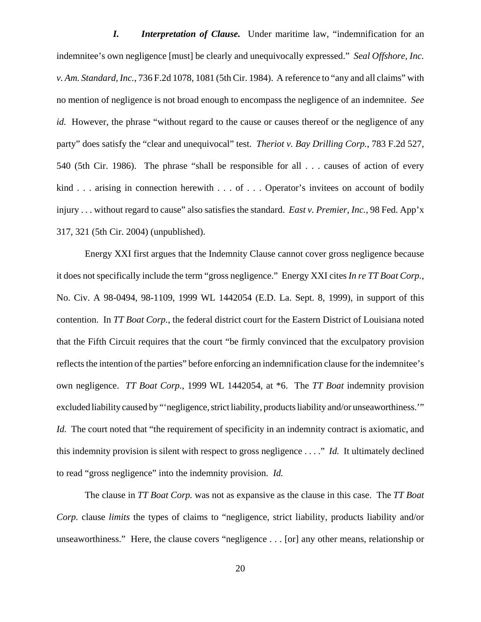*I. Interpretation of Clause.* Under maritime law, "indemnification for an indemnitee's own negligence [must] be clearly and unequivocally expressed." *Seal Offshore, Inc. v. Am. Standard, Inc.*, 736 F.2d 1078, 1081 (5th Cir. 1984). A reference to "any and all claims" with no mention of negligence is not broad enough to encompass the negligence of an indemnitee. *See id.* However, the phrase "without regard to the cause or causes thereof or the negligence of any party" does satisfy the "clear and unequivocal" test. *Theriot v. Bay Drilling Corp.*, 783 F.2d 527, 540 (5th Cir. 1986). The phrase "shall be responsible for all . . . causes of action of every kind . . . arising in connection herewith . . . of . . . Operator's invitees on account of bodily injury . . . without regard to cause" also satisfies the standard. *East v. Premier, Inc.*, 98 Fed. App'x 317, 321 (5th Cir. 2004) (unpublished).

Energy XXI first argues that the Indemnity Clause cannot cover gross negligence because it does not specifically include the term "gross negligence." Energy XXI cites *In re TT Boat Corp.*, No. Civ. A 98-0494, 98-1109, 1999 WL 1442054 (E.D. La. Sept. 8, 1999), in support of this contention. In *TT Boat Corp.*, the federal district court for the Eastern District of Louisiana noted that the Fifth Circuit requires that the court "be firmly convinced that the exculpatory provision reflects the intention of the parties" before enforcing an indemnification clause for the indemnitee's own negligence. *TT Boat Corp.*, 1999 WL 1442054, at \*6. The *TT Boat* indemnity provision excluded liability caused by "'negligence, strict liability, products liability and/or unseaworthiness.'" *Id.* The court noted that "the requirement of specificity in an indemnity contract is axiomatic, and this indemnity provision is silent with respect to gross negligence . . . ." *Id.* It ultimately declined to read "gross negligence" into the indemnity provision. *Id.*

The clause in *TT Boat Corp.* was not as expansive as the clause in this case. The *TT Boat Corp.* clause *limits* the types of claims to "negligence, strict liability, products liability and/or unseaworthiness." Here, the clause covers "negligence . . . [or] any other means, relationship or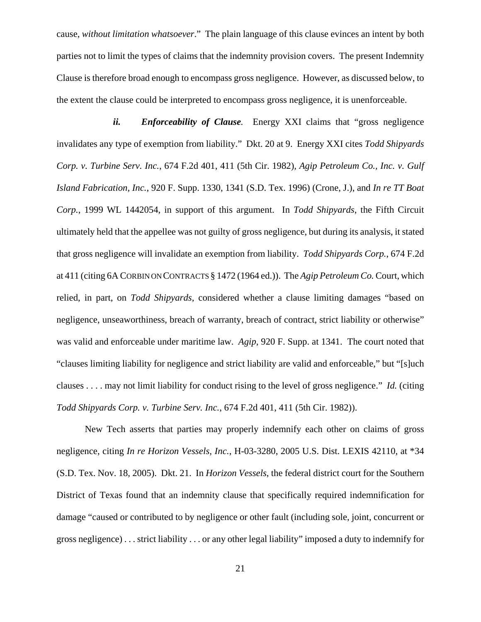cause, *without limitation whatsoever*." The plain language of this clause evinces an intent by both parties not to limit the types of claims that the indemnity provision covers. The present Indemnity Clause is therefore broad enough to encompass gross negligence. However, as discussed below, to the extent the clause could be interpreted to encompass gross negligence, it is unenforceable.

*ii. Enforceability of Clause.* Energy XXI claims that "gross negligence invalidates any type of exemption from liability." Dkt. 20 at 9. Energy XXI cites *Todd Shipyards Corp. v. Turbine Serv. Inc.*, 674 F.2d 401, 411 (5th Cir. 1982)*, Agip Petroleum Co., Inc. v. Gulf Island Fabrication, Inc.*, 920 F. Supp. 1330, 1341 (S.D. Tex. 1996) (Crone, J.), and *In re TT Boat Corp.*, 1999 WL 1442054, in support of this argument. In *Todd Shipyards*, the Fifth Circuit ultimately held that the appellee was not guilty of gross negligence, but during its analysis, it stated that gross negligence will invalidate an exemption from liability. *Todd Shipyards Corp.*, 674 F.2d at 411 (citing 6A CORBIN ON CONTRACTS § 1472 (1964 ed.)). The *Agip Petroleum Co.* Court, which relied, in part, on *Todd Shipyards*, considered whether a clause limiting damages "based on negligence, unseaworthiness, breach of warranty, breach of contract, strict liability or otherwise" was valid and enforceable under maritime law. *Agip*, 920 F. Supp. at 1341. The court noted that "clauses limiting liability for negligence and strict liability are valid and enforceable," but "[s]uch clauses . . . . may not limit liability for conduct rising to the level of gross negligence." *Id.* (citing *Todd Shipyards Corp. v. Turbine Serv. Inc.*, 674 F.2d 401, 411 (5th Cir. 1982)).

New Tech asserts that parties may properly indemnify each other on claims of gross negligence, citing *In re Horizon Vessels, Inc.*, H-03-3280, 2005 U.S. Dist. LEXIS 42110, at \*34 (S.D. Tex. Nov. 18, 2005). Dkt. 21. In *Horizon Vessels*, the federal district court for the Southern District of Texas found that an indemnity clause that specifically required indemnification for damage "caused or contributed to by negligence or other fault (including sole, joint, concurrent or gross negligence) . . . strict liability . . . or any other legal liability" imposed a duty to indemnify for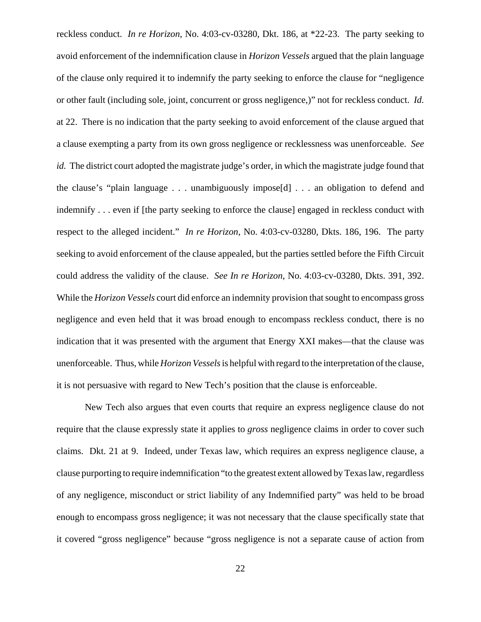reckless conduct. *In re Horizon*, No. 4:03-cv-03280, Dkt. 186, at \*22-23. The party seeking to avoid enforcement of the indemnification clause in *Horizon Vessels* argued that the plain language of the clause only required it to indemnify the party seeking to enforce the clause for "negligence or other fault (including sole, joint, concurrent or gross negligence,)" not for reckless conduct. *Id.* at 22. There is no indication that the party seeking to avoid enforcement of the clause argued that a clause exempting a party from its own gross negligence or recklessness was unenforceable. *See id.* The district court adopted the magistrate judge's order, in which the magistrate judge found that the clause's "plain language . . . unambiguously impose[d] . . . an obligation to defend and indemnify . . . even if [the party seeking to enforce the clause] engaged in reckless conduct with respect to the alleged incident." *In re Horizon*, No. 4:03-cv-03280, Dkts. 186, 196. The party seeking to avoid enforcement of the clause appealed, but the parties settled before the Fifth Circuit could address the validity of the clause. *See In re Horizon*, No. 4:03-cv-03280, Dkts. 391, 392. While the *Horizon Vessels* court did enforce an indemnity provision that sought to encompass gross negligence and even held that it was broad enough to encompass reckless conduct, there is no indication that it was presented with the argument that Energy XXI makes—that the clause was unenforceable. Thus, while *Horizon Vessels* is helpful with regard to the interpretation of the clause, it is not persuasive with regard to New Tech's position that the clause is enforceable.

New Tech also argues that even courts that require an express negligence clause do not require that the clause expressly state it applies to *gross* negligence claims in order to cover such claims. Dkt. 21 at 9. Indeed, under Texas law, which requires an express negligence clause, a clause purporting to require indemnification "to the greatest extent allowed by Texas law, regardless of any negligence, misconduct or strict liability of any Indemnified party" was held to be broad enough to encompass gross negligence; it was not necessary that the clause specifically state that it covered "gross negligence" because "gross negligence is not a separate cause of action from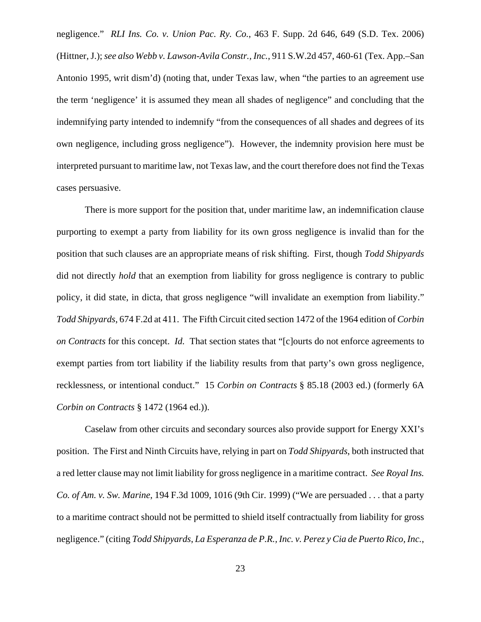negligence." *RLI Ins. Co. v. Union Pac. Ry. Co.*, 463 F. Supp. 2d 646, 649 (S.D. Tex. 2006) (Hittner, J.); *see also Webb v. Lawson-Avila Constr., Inc.*, 911 S.W.2d 457, 460-61 (Tex. App.–San Antonio 1995, writ dism'd) (noting that, under Texas law, when "the parties to an agreement use the term 'negligence' it is assumed they mean all shades of negligence" and concluding that the indemnifying party intended to indemnify "from the consequences of all shades and degrees of its own negligence, including gross negligence"). However, the indemnity provision here must be interpreted pursuant to maritime law, not Texas law, and the court therefore does not find the Texas cases persuasive.

There is more support for the position that, under maritime law, an indemnification clause purporting to exempt a party from liability for its own gross negligence is invalid than for the position that such clauses are an appropriate means of risk shifting. First, though *Todd Shipyards* did not directly *hold* that an exemption from liability for gross negligence is contrary to public policy, it did state, in dicta, that gross negligence "will invalidate an exemption from liability." *Todd Shipyards*, 674 F.2d at 411. The Fifth Circuit cited section 1472 of the 1964 edition of *Corbin on Contracts* for this concept. *Id.* That section states that "[c]ourts do not enforce agreements to exempt parties from tort liability if the liability results from that party's own gross negligence, recklessness, or intentional conduct." 15 *Corbin on Contracts* § 85.18 (2003 ed.) (formerly 6A *Corbin on Contracts* § 1472 (1964 ed.)).

Caselaw from other circuits and secondary sources also provide support for Energy XXI's position. The First and Ninth Circuits have, relying in part on *Todd Shipyards*, both instructed that a red letter clause may not limit liability for gross negligence in a maritime contract. *See Royal Ins. Co. of Am. v. Sw. Marine*, 194 F.3d 1009, 1016 (9th Cir. 1999) ("We are persuaded . . . that a party to a maritime contract should not be permitted to shield itself contractually from liability for gross negligence." (citing *Todd Shipyards*, *La Esperanza de P.R., Inc. v. Perez y Cia de Puerto Rico, Inc.*,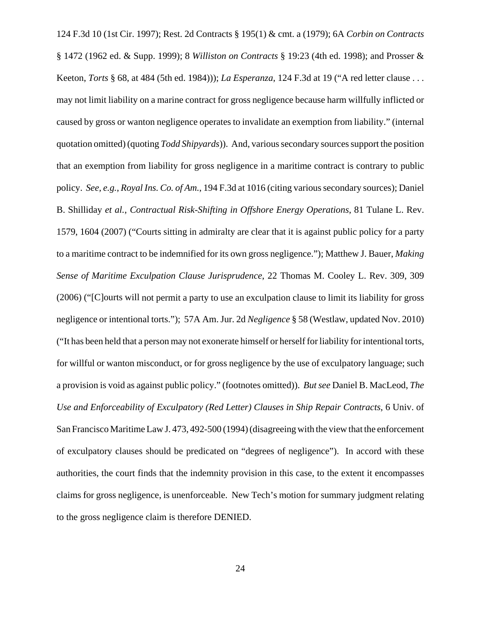124 F.3d 10 (1st Cir. 1997); Rest. 2d Contracts § 195(1) & cmt. a (1979); 6A *Corbin on Contracts* § 1472 (1962 ed. & Supp. 1999); 8 *Williston on Contracts* § 19:23 (4th ed. 1998); and Prosser & Keeton, *Torts* § 68, at 484 (5th ed. 1984))); *La Esperanza*, 124 F.3d at 19 ("A red letter clause . . . may not limit liability on a marine contract for gross negligence because harm willfully inflicted or caused by gross or wanton negligence operates to invalidate an exemption from liability." (internal quotation omitted) (quoting *Todd Shipyards*)). And, various secondary sources support the position that an exemption from liability for gross negligence in a maritime contract is contrary to public policy. *See, e.g.*, *Royal Ins. Co. of Am.*, 194 F.3d at 1016 (citing various secondary sources); Daniel B. Shilliday *et al.*, *Contractual Risk-Shifting in Offshore Energy Operations*, 81 Tulane L. Rev. 1579, 1604 (2007) ("Courts sitting in admiralty are clear that it is against public policy for a party to a maritime contract to be indemnified for its own gross negligence."); Matthew J. Bauer, *Making Sense of Maritime Exculpation Clause Jurisprudence*, 22 Thomas M. Cooley L. Rev. 309, 309 (2006) ("[C]ourts will not permit a party to use an exculpation clause to limit its liability for gross negligence or intentional torts."); 57A Am. Jur. 2d *Negligence* § 58 (Westlaw, updated Nov. 2010) ("It has been held that a person may not exonerate himself or herself for liability for intentional torts, for willful or wanton misconduct, or for gross negligence by the use of exculpatory language; such a provision is void as against public policy." (footnotes omitted)). *But see* Daniel B. MacLeod, *The Use and Enforceability of Exculpatory (Red Letter) Clauses in Ship Repair Contracts*, 6 Univ. of San Francisco Maritime Law J. 473, 492-500 (1994) (disagreeing with the view that the enforcement of exculpatory clauses should be predicated on "degrees of negligence"). In accord with these authorities, the court finds that the indemnity provision in this case, to the extent it encompasses claims for gross negligence, is unenforceable. New Tech's motion for summary judgment relating to the gross negligence claim is therefore DENIED.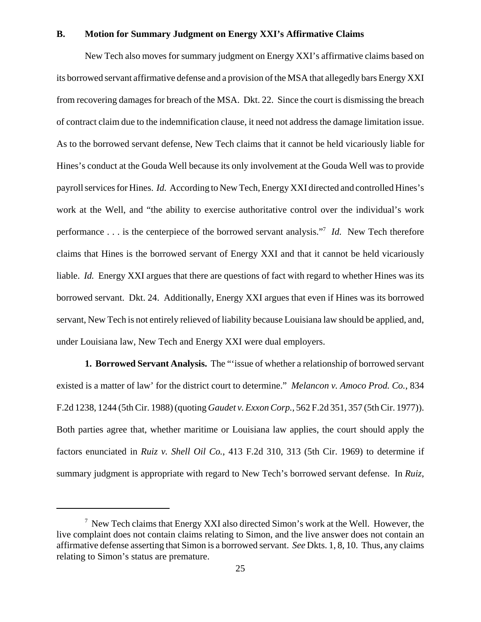### **B. Motion for Summary Judgment on Energy XXI's Affirmative Claims**

New Tech also moves for summary judgment on Energy XXI's affirmative claims based on its borrowed servant affirmative defense and a provision of the MSA that allegedly bars Energy XXI from recovering damages for breach of the MSA. Dkt. 22. Since the court is dismissing the breach of contract claim due to the indemnification clause, it need not address the damage limitation issue. As to the borrowed servant defense, New Tech claims that it cannot be held vicariously liable for Hines's conduct at the Gouda Well because its only involvement at the Gouda Well was to provide payroll services for Hines. *Id.* According to New Tech, Energy XXI directed and controlled Hines's work at the Well, and "the ability to exercise authoritative control over the individual's work performance . . . is the centerpiece of the borrowed servant analysis."7 *Id.* New Tech therefore claims that Hines is the borrowed servant of Energy XXI and that it cannot be held vicariously liable. *Id.* Energy XXI argues that there are questions of fact with regard to whether Hines was its borrowed servant. Dkt. 24. Additionally, Energy XXI argues that even if Hines was its borrowed servant, New Tech is not entirely relieved of liability because Louisiana law should be applied, and, under Louisiana law, New Tech and Energy XXI were dual employers.

**1. Borrowed Servant Analysis.** The "'issue of whether a relationship of borrowed servant existed is a matter of law' for the district court to determine." *Melancon v. Amoco Prod. Co.*, 834 F.2d 1238, 1244 (5th Cir. 1988) (quoting *Gaudet v. Exxon Corp.*, 562 F.2d 351, 357 (5th Cir. 1977)). Both parties agree that, whether maritime or Louisiana law applies, the court should apply the factors enunciated in *Ruiz v. Shell Oil Co.*, 413 F.2d 310, 313 (5th Cir. 1969) to determine if summary judgment is appropriate with regard to New Tech's borrowed servant defense. In *Ruiz*,

 $7$  New Tech claims that Energy XXI also directed Simon's work at the Well. However, the live complaint does not contain claims relating to Simon, and the live answer does not contain an affirmative defense asserting that Simon is a borrowed servant. *See* Dkts. 1, 8, 10. Thus, any claims relating to Simon's status are premature.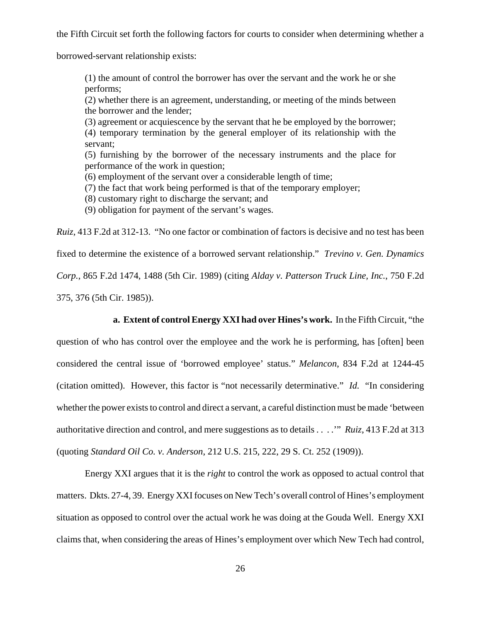the Fifth Circuit set forth the following factors for courts to consider when determining whether a

borrowed-servant relationship exists:

(1) the amount of control the borrower has over the servant and the work he or she performs;

(2) whether there is an agreement, understanding, or meeting of the minds between the borrower and the lender;

(3) agreement or acquiescence by the servant that he be employed by the borrower; (4) temporary termination by the general employer of its relationship with the servant;

(5) furnishing by the borrower of the necessary instruments and the place for performance of the work in question;

(6) employment of the servant over a considerable length of time;

(7) the fact that work being performed is that of the temporary employer;

(8) customary right to discharge the servant; and

(9) obligation for payment of the servant's wages.

*Ruiz*, 413 F.2d at 312-13. "No one factor or combination of factors is decisive and no test has been fixed to determine the existence of a borrowed servant relationship." *Trevino v. Gen. Dynamics Corp.*, 865 F.2d 1474, 1488 (5th Cir. 1989) (citing *Alday v. Patterson Truck Line, Inc.*, 750 F.2d 375, 376 (5th Cir. 1985)).

**a. Extent of control Energy XXI had over Hines's work.** In the Fifth Circuit, "the

question of who has control over the employee and the work he is performing, has [often] been considered the central issue of 'borrowed employee' status." *Melancon*, 834 F.2d at 1244-45 (citation omitted). However, this factor is "not necessarily determinative." *Id.* "In considering whether the power exists to control and direct a servant, a careful distinction must be made 'between authoritative direction and control, and mere suggestions as to details . . . .'" *Ruiz*, 413 F.2d at 313 (quoting *Standard Oil Co. v. Anderson*, 212 U.S. 215, 222, 29 S. Ct. 252 (1909)).

Energy XXI argues that it is the *right* to control the work as opposed to actual control that matters. Dkts. 27-4, 39. Energy XXI focuses on New Tech's overall control of Hines's employment situation as opposed to control over the actual work he was doing at the Gouda Well. Energy XXI claims that, when considering the areas of Hines's employment over which New Tech had control,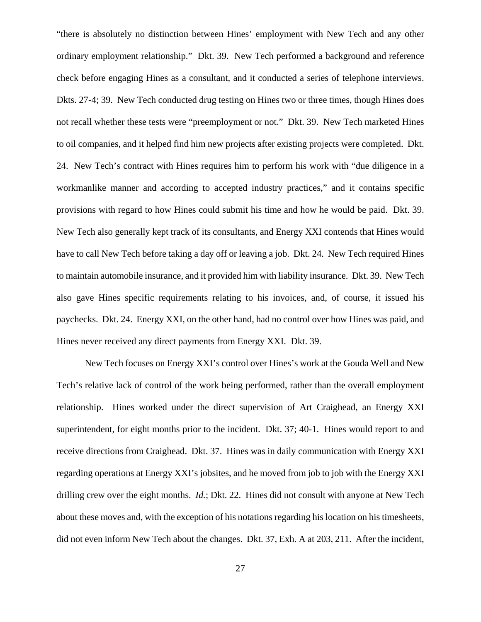"there is absolutely no distinction between Hines' employment with New Tech and any other ordinary employment relationship." Dkt. 39. New Tech performed a background and reference check before engaging Hines as a consultant, and it conducted a series of telephone interviews. Dkts. 27-4; 39. New Tech conducted drug testing on Hines two or three times, though Hines does not recall whether these tests were "preemployment or not." Dkt. 39. New Tech marketed Hines to oil companies, and it helped find him new projects after existing projects were completed. Dkt. 24. New Tech's contract with Hines requires him to perform his work with "due diligence in a workmanlike manner and according to accepted industry practices," and it contains specific provisions with regard to how Hines could submit his time and how he would be paid. Dkt. 39. New Tech also generally kept track of its consultants, and Energy XXI contends that Hines would have to call New Tech before taking a day off or leaving a job. Dkt. 24. New Tech required Hines to maintain automobile insurance, and it provided him with liability insurance. Dkt. 39. New Tech also gave Hines specific requirements relating to his invoices, and, of course, it issued his paychecks. Dkt. 24. Energy XXI, on the other hand, had no control over how Hines was paid, and Hines never received any direct payments from Energy XXI. Dkt. 39.

New Tech focuses on Energy XXI's control over Hines's work at the Gouda Well and New Tech's relative lack of control of the work being performed, rather than the overall employment relationship. Hines worked under the direct supervision of Art Craighead, an Energy XXI superintendent, for eight months prior to the incident. Dkt. 37; 40-1. Hines would report to and receive directions from Craighead. Dkt. 37. Hines was in daily communication with Energy XXI regarding operations at Energy XXI's jobsites, and he moved from job to job with the Energy XXI drilling crew over the eight months. *Id.*; Dkt. 22.Hines did not consult with anyone at New Tech about these moves and, with the exception of his notations regarding his location on his timesheets, did not even inform New Tech about the changes. Dkt. 37, Exh. A at 203, 211. After the incident,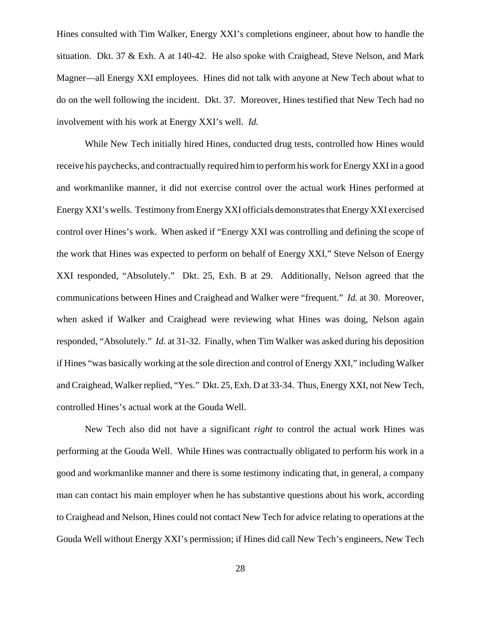Hines consulted with Tim Walker, Energy XXI's completions engineer, about how to handle the situation. Dkt. 37 & Exh. A at 140-42. He also spoke with Craighead, Steve Nelson, and Mark Magner—all Energy XXI employees. Hines did not talk with anyone at New Tech about what to do on the well following the incident. Dkt. 37. Moreover, Hines testified that New Tech had no involvement with his work at Energy XXI's well. *Id.* 

While New Tech initially hired Hines, conducted drug tests, controlled how Hines would receive his paychecks, and contractually required him to perform his work for Energy XXI in a good and workmanlike manner, it did not exercise control over the actual work Hines performed at Energy XXI's wells. Testimony from Energy XXI officials demonstrates that Energy XXI exercised control over Hines's work. When asked if "Energy XXI was controlling and defining the scope of the work that Hines was expected to perform on behalf of Energy XXI," Steve Nelson of Energy XXI responded, "Absolutely." Dkt. 25, Exh. B at 29. Additionally, Nelson agreed that the communications between Hines and Craighead and Walker were "frequent." *Id.* at 30. Moreover, when asked if Walker and Craighead were reviewing what Hines was doing, Nelson again responded, "Absolutely." *Id.* at 31-32. Finally, when Tim Walker was asked during his deposition if Hines "was basically working at the sole direction and control of Energy XXI," including Walker and Craighead, Walker replied, "Yes." Dkt. 25, Exh. D at 33-34. Thus, Energy XXI, not New Tech, controlled Hines's actual work at the Gouda Well.

New Tech also did not have a significant *right* to control the actual work Hines was performing at the Gouda Well. While Hines was contractually obligated to perform his work in a good and workmanlike manner and there is some testimony indicating that, in general, a company man can contact his main employer when he has substantive questions about his work, according to Craighead and Nelson, Hines could not contact New Tech for advice relating to operations at the Gouda Well without Energy XXI's permission; if Hines did call New Tech's engineers, New Tech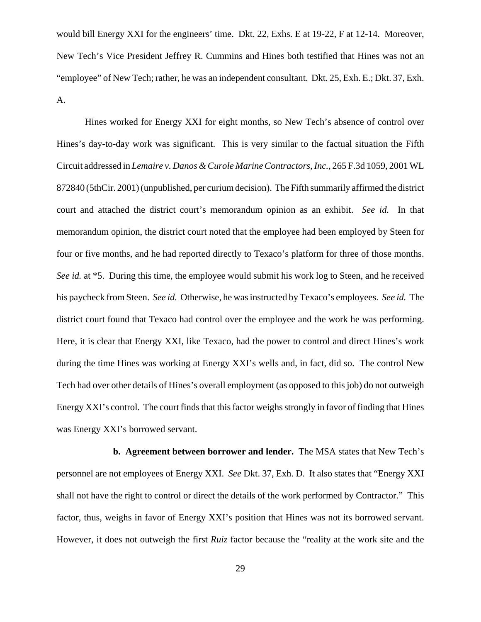would bill Energy XXI for the engineers' time. Dkt. 22, Exhs. E at 19-22, F at 12-14. Moreover, New Tech's Vice President Jeffrey R. Cummins and Hines both testified that Hines was not an "employee" of New Tech; rather, he was an independent consultant. Dkt. 25, Exh. E.; Dkt. 37, Exh. A.

Hines worked for Energy XXI for eight months, so New Tech's absence of control over Hines's day-to-day work was significant. This is very similar to the factual situation the Fifth Circuit addressed in *Lemaire v. Danos & Curole Marine Contractors, Inc.*, 265 F.3d 1059, 2001 WL 872840 (5thCir. 2001) (unpublished, per curium decision). The Fifth summarily affirmed the district court and attached the district court's memorandum opinion as an exhibit. *See id.* In that memorandum opinion, the district court noted that the employee had been employed by Steen for four or five months, and he had reported directly to Texaco's platform for three of those months. *See id.* at \*5. During this time, the employee would submit his work log to Steen, and he received his paycheck from Steen. *See id.* Otherwise, he was instructed by Texaco's employees. *See id.* The district court found that Texaco had control over the employee and the work he was performing. Here, it is clear that Energy XXI, like Texaco, had the power to control and direct Hines's work during the time Hines was working at Energy XXI's wells and, in fact, did so. The control New Tech had over other details of Hines's overall employment (as opposed to this job) do not outweigh Energy XXI's control. The court finds that this factor weighs strongly in favor of finding that Hines was Energy XXI's borrowed servant.

**b. Agreement between borrower and lender.** The MSA states that New Tech's personnel are not employees of Energy XXI. *See* Dkt. 37, Exh. D. It also states that "Energy XXI shall not have the right to control or direct the details of the work performed by Contractor." This factor, thus, weighs in favor of Energy XXI's position that Hines was not its borrowed servant. However, it does not outweigh the first *Ruiz* factor because the "reality at the work site and the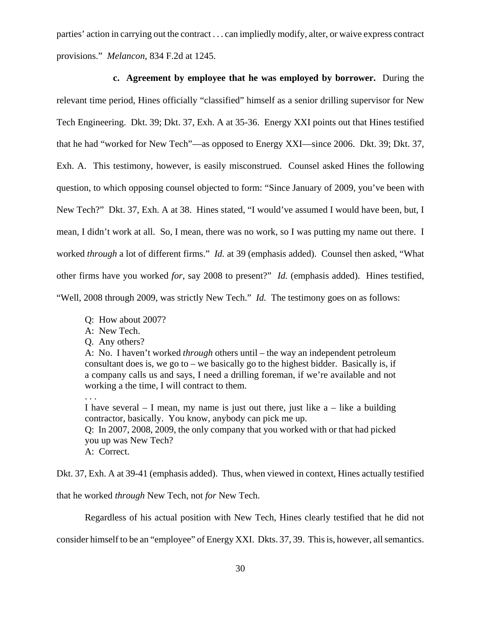parties' action in carrying out the contract . . . can impliedly modify, alter, or waive express contract provisions." *Melancon*, 834 F.2d at 1245.

**c. Agreement by employee that he was employed by borrower.** During the relevant time period, Hines officially "classified" himself as a senior drilling supervisor for New Tech Engineering. Dkt. 39; Dkt. 37, Exh. A at 35-36. Energy XXI points out that Hines testified that he had "worked for New Tech"—as opposed to Energy XXI—since 2006. Dkt. 39; Dkt. 37, Exh. A. This testimony, however, is easily misconstrued. Counsel asked Hines the following question, to which opposing counsel objected to form: "Since January of 2009, you've been with New Tech?" Dkt. 37, Exh. A at 38. Hines stated, "I would've assumed I would have been, but, I mean, I didn't work at all. So, I mean, there was no work, so I was putting my name out there. I worked *through* a lot of different firms." *Id.* at 39 (emphasis added). Counsel then asked, "What other firms have you worked *for*, say 2008 to present?" *Id.* (emphasis added). Hines testified, "Well, 2008 through 2009, was strictly New Tech." *Id.* The testimony goes on as follows:

- Q: How about 2007?
- A: New Tech.
- Q. Any others?

. . .

A: No. I haven't worked *through* others until – the way an independent petroleum consultant does is, we go to – we basically go to the highest bidder. Basically is, if a company calls us and says, I need a drilling foreman, if we're available and not working a the time, I will contract to them.

I have several  $-1$  mean, my name is just out there, just like a  $-$  like a building contractor, basically. You know, anybody can pick me up. Q: In 2007, 2008, 2009, the only company that you worked with or that had picked you up was New Tech? A: Correct.

Dkt. 37, Exh. A at 39-41 (emphasis added). Thus, when viewed in context, Hines actually testified

that he worked *through* New Tech, not *for* New Tech.

Regardless of his actual position with New Tech, Hines clearly testified that he did not

consider himself to be an "employee" of Energy XXI. Dkts. 37, 39. This is, however, all semantics.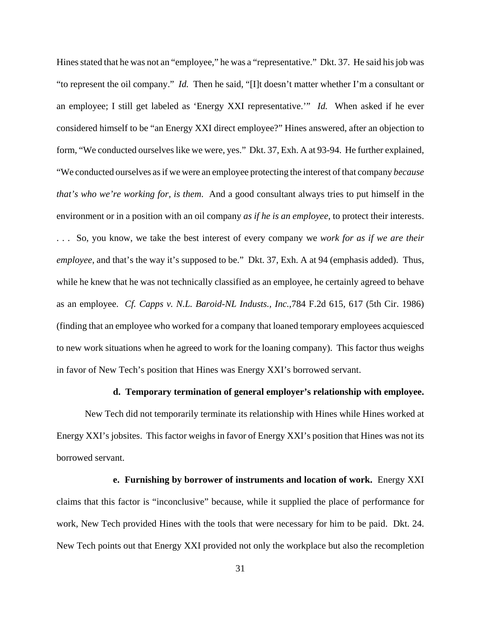Hines stated that he was not an "employee," he was a "representative." Dkt. 37. He said his job was "to represent the oil company." *Id.* Then he said, "[I]t doesn't matter whether I'm a consultant or an employee; I still get labeled as 'Energy XXI representative.'" *Id.* When asked if he ever considered himself to be "an Energy XXI direct employee?" Hines answered, after an objection to form, "We conducted ourselves like we were, yes." Dkt. 37, Exh. A at 93-94. He further explained, "We conducted ourselves as if we were an employee protecting the interest of that company *because that's who we're working for, is them*. And a good consultant always tries to put himself in the environment or in a position with an oil company *as if he is an employee*, to protect their interests. . . . So, you know, we take the best interest of every company we *work for as if we are their employee*, and that's the way it's supposed to be." Dkt. 37, Exh. A at 94 (emphasis added). Thus, while he knew that he was not technically classified as an employee, he certainly agreed to behave as an employee. *Cf. Capps v. N.L. Baroid-NL Industs., Inc.*,784 F.2d 615, 617 (5th Cir. 1986) (finding that an employee who worked for a company that loaned temporary employees acquiesced to new work situations when he agreed to work for the loaning company). This factor thus weighs in favor of New Tech's position that Hines was Energy XXI's borrowed servant.

### **d. Temporary termination of general employer's relationship with employee.**

New Tech did not temporarily terminate its relationship with Hines while Hines worked at Energy XXI's jobsites. This factor weighs in favor of Energy XXI's position that Hines was not its borrowed servant.

**e. Furnishing by borrower of instruments and location of work.** Energy XXI claims that this factor is "inconclusive" because, while it supplied the place of performance for work, New Tech provided Hines with the tools that were necessary for him to be paid. Dkt. 24. New Tech points out that Energy XXI provided not only the workplace but also the recompletion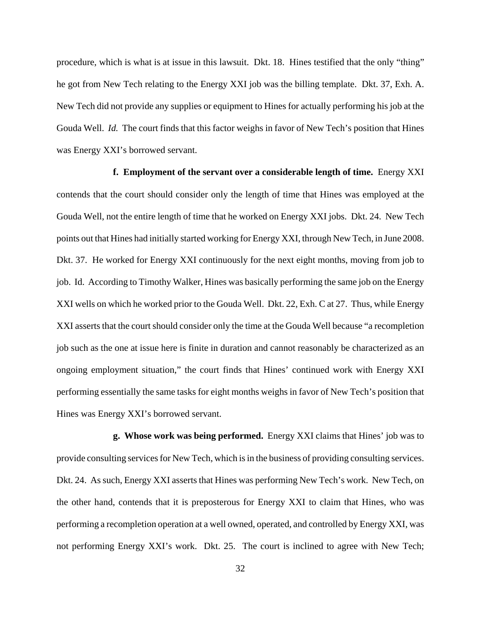procedure, which is what is at issue in this lawsuit. Dkt. 18. Hines testified that the only "thing" he got from New Tech relating to the Energy XXI job was the billing template. Dkt. 37, Exh. A. New Tech did not provide any supplies or equipment to Hines for actually performing his job at the Gouda Well. *Id.* The court finds that this factor weighs in favor of New Tech's position that Hines was Energy XXI's borrowed servant.

**f. Employment of the servant over a considerable length of time.** Energy XXI contends that the court should consider only the length of time that Hines was employed at the Gouda Well, not the entire length of time that he worked on Energy XXI jobs. Dkt. 24. New Tech points out that Hines had initially started working for Energy XXI, through New Tech, in June 2008. Dkt. 37. He worked for Energy XXI continuously for the next eight months, moving from job to job. Id. According to Timothy Walker, Hines was basically performing the same job on the Energy XXI wells on which he worked prior to the Gouda Well. Dkt. 22, Exh. C at 27. Thus, while Energy XXI asserts that the court should consider only the time at the Gouda Well because "a recompletion job such as the one at issue here is finite in duration and cannot reasonably be characterized as an ongoing employment situation," the court finds that Hines' continued work with Energy XXI performing essentially the same tasks for eight months weighs in favor of New Tech's position that Hines was Energy XXI's borrowed servant.

**g. Whose work was being performed.** Energy XXI claims that Hines' job was to provide consulting services for New Tech, which is in the business of providing consulting services. Dkt. 24. As such, Energy XXI asserts that Hines was performing New Tech's work. New Tech, on the other hand, contends that it is preposterous for Energy XXI to claim that Hines, who was performing a recompletion operation at a well owned, operated, and controlled by Energy XXI, was not performing Energy XXI's work. Dkt. 25. The court is inclined to agree with New Tech;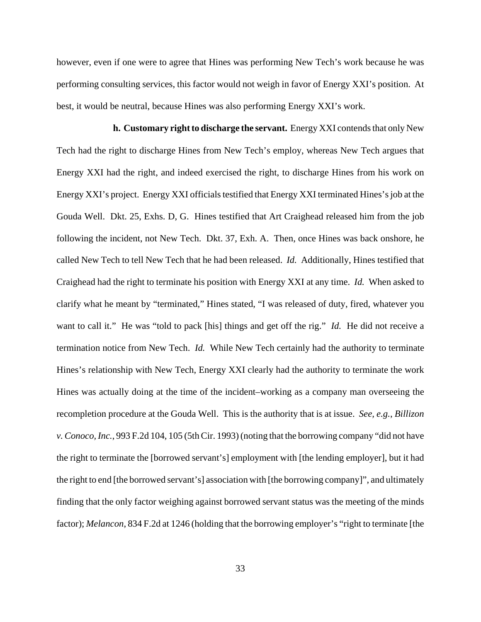however, even if one were to agree that Hines was performing New Tech's work because he was performing consulting services, this factor would not weigh in favor of Energy XXI's position. At best, it would be neutral, because Hines was also performing Energy XXI's work.

**h. Customary right to discharge the servant.** Energy XXI contends that only New Tech had the right to discharge Hines from New Tech's employ, whereas New Tech argues that Energy XXI had the right, and indeed exercised the right, to discharge Hines from his work on Energy XXI's project. Energy XXI officials testified that Energy XXI terminated Hines's job at the Gouda Well. Dkt. 25, Exhs. D, G. Hines testified that Art Craighead released him from the job following the incident, not New Tech. Dkt. 37, Exh. A. Then, once Hines was back onshore, he called New Tech to tell New Tech that he had been released. *Id.* Additionally, Hines testified that Craighead had the right to terminate his position with Energy XXI at any time. *Id.* When asked to clarify what he meant by "terminated," Hines stated, "I was released of duty, fired, whatever you want to call it." He was "told to pack [his] things and get off the rig." *Id.* He did not receive a termination notice from New Tech. *Id.* While New Tech certainly had the authority to terminate Hines's relationship with New Tech, Energy XXI clearly had the authority to terminate the work Hines was actually doing at the time of the incident–working as a company man overseeing the recompletion procedure at the Gouda Well. This is the authority that is at issue. *See, e.g.*, *Billizon v. Conoco, Inc.*, 993 F.2d 104, 105 (5th Cir. 1993) (noting that the borrowing company "did not have the right to terminate the [borrowed servant's] employment with [the lending employer], but it had the right to end [the borrowed servant's] association with [the borrowing company]", and ultimately finding that the only factor weighing against borrowed servant status was the meeting of the minds factor); *Melancon*, 834 F.2d at 1246 (holding that the borrowing employer's "right to terminate [the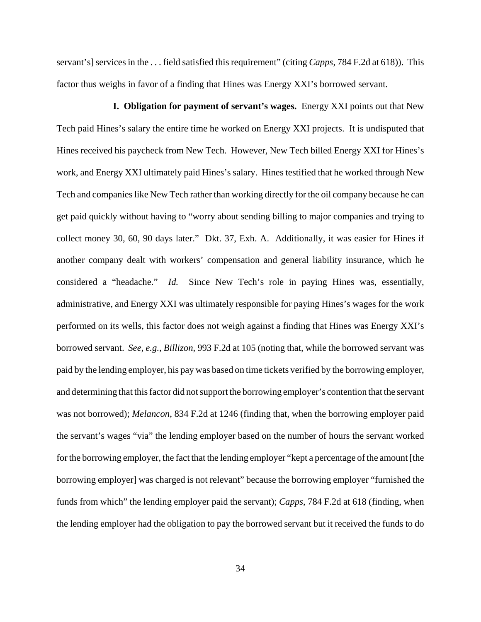servant's] services in the . . . field satisfied this requirement" (citing *Capps*, 784 F.2d at 618)). This factor thus weighs in favor of a finding that Hines was Energy XXI's borrowed servant.

**I. Obligation for payment of servant's wages.** Energy XXI points out that New Tech paid Hines's salary the entire time he worked on Energy XXI projects. It is undisputed that Hines received his paycheck from New Tech. However, New Tech billed Energy XXI for Hines's work, and Energy XXI ultimately paid Hines's salary. Hines testified that he worked through New Tech and companies like New Tech rather than working directly for the oil company because he can get paid quickly without having to "worry about sending billing to major companies and trying to collect money 30, 60, 90 days later." Dkt. 37, Exh. A. Additionally, it was easier for Hines if another company dealt with workers' compensation and general liability insurance, which he considered a "headache." *Id.* Since New Tech's role in paying Hines was, essentially, administrative, and Energy XXI was ultimately responsible for paying Hines's wages for the work performed on its wells, this factor does not weigh against a finding that Hines was Energy XXI's borrowed servant. *See, e.g.*, *Billizon*, 993 F.2d at 105 (noting that, while the borrowed servant was paid by the lending employer, his pay was based on time tickets verified by the borrowing employer, and determining that this factor did not support the borrowing employer's contention that the servant was not borrowed); *Melancon*, 834 F.2d at 1246 (finding that, when the borrowing employer paid the servant's wages "via" the lending employer based on the number of hours the servant worked for the borrowing employer, the fact that the lending employer "kept a percentage of the amount [the borrowing employer] was charged is not relevant" because the borrowing employer "furnished the funds from which" the lending employer paid the servant); *Capps*, 784 F.2d at 618 (finding, when the lending employer had the obligation to pay the borrowed servant but it received the funds to do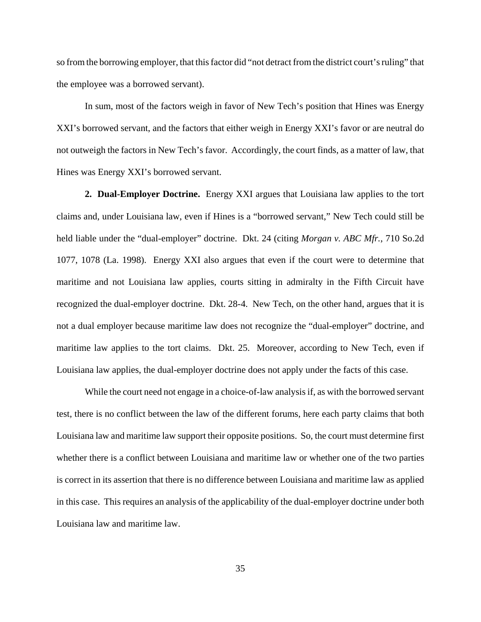so from the borrowing employer, that this factor did "not detract from the district court's ruling" that the employee was a borrowed servant).

In sum, most of the factors weigh in favor of New Tech's position that Hines was Energy XXI's borrowed servant, and the factors that either weigh in Energy XXI's favor or are neutral do not outweigh the factors in New Tech's favor. Accordingly, the court finds, as a matter of law, that Hines was Energy XXI's borrowed servant.

**2. Dual-Employer Doctrine.** Energy XXI argues that Louisiana law applies to the tort claims and, under Louisiana law, even if Hines is a "borrowed servant," New Tech could still be held liable under the "dual-employer" doctrine. Dkt. 24 (citing *Morgan v. ABC Mfr.*, 710 So.2d 1077, 1078 (La. 1998). Energy XXI also argues that even if the court were to determine that maritime and not Louisiana law applies, courts sitting in admiralty in the Fifth Circuit have recognized the dual-employer doctrine. Dkt. 28-4. New Tech, on the other hand, argues that it is not a dual employer because maritime law does not recognize the "dual-employer" doctrine, and maritime law applies to the tort claims. Dkt. 25. Moreover, according to New Tech, even if Louisiana law applies, the dual-employer doctrine does not apply under the facts of this case.

While the court need not engage in a choice-of-law analysis if, as with the borrowed servant test, there is no conflict between the law of the different forums, here each party claims that both Louisiana law and maritime law support their opposite positions. So, the court must determine first whether there is a conflict between Louisiana and maritime law or whether one of the two parties is correct in its assertion that there is no difference between Louisiana and maritime law as applied in this case. This requires an analysis of the applicability of the dual-employer doctrine under both Louisiana law and maritime law.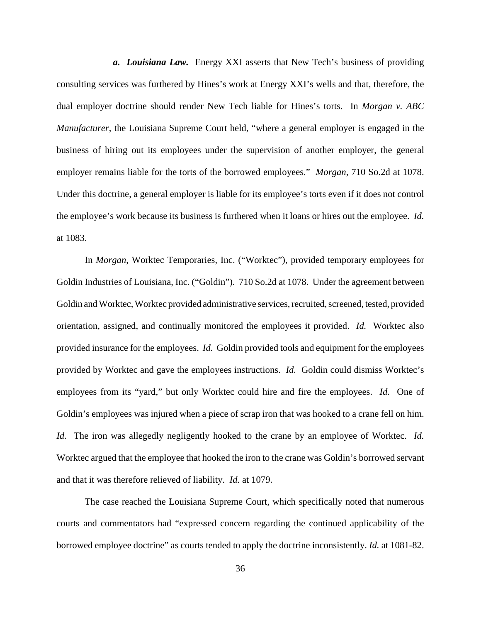*a. Louisiana Law.* Energy XXI asserts that New Tech's business of providing consulting services was furthered by Hines's work at Energy XXI's wells and that, therefore, the dual employer doctrine should render New Tech liable for Hines's torts. In *Morgan v. ABC Manufacturer*, the Louisiana Supreme Court held, "where a general employer is engaged in the business of hiring out its employees under the supervision of another employer, the general employer remains liable for the torts of the borrowed employees." *Morgan*, 710 So.2d at 1078. Under this doctrine, a general employer is liable for its employee's torts even if it does not control the employee's work because its business is furthered when it loans or hires out the employee. *Id.* at 1083.

In *Morgan*, Worktec Temporaries, Inc. ("Worktec"), provided temporary employees for Goldin Industries of Louisiana, Inc. ("Goldin"). 710 So.2d at 1078. Under the agreement between Goldin and Worktec, Worktec provided administrative services, recruited, screened, tested, provided orientation, assigned, and continually monitored the employees it provided. *Id.* Worktec also provided insurance for the employees. *Id.* Goldin provided tools and equipment for the employees provided by Worktec and gave the employees instructions. *Id.* Goldin could dismiss Worktec's employees from its "yard," but only Worktec could hire and fire the employees. *Id.* One of Goldin's employees was injured when a piece of scrap iron that was hooked to a crane fell on him. *Id.* The iron was allegedly negligently hooked to the crane by an employee of Worktec. *Id.* Worktec argued that the employee that hooked the iron to the crane was Goldin's borrowed servant and that it was therefore relieved of liability. *Id.* at 1079.

The case reached the Louisiana Supreme Court, which specifically noted that numerous courts and commentators had "expressed concern regarding the continued applicability of the borrowed employee doctrine" as courts tended to apply the doctrine inconsistently. *Id.* at 1081-82.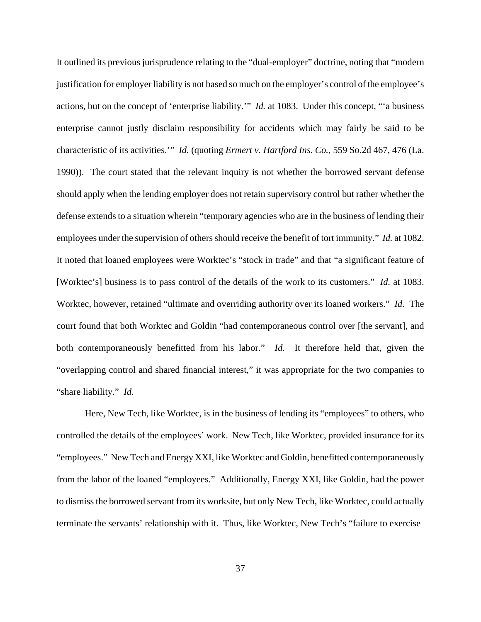It outlined its previous jurisprudence relating to the "dual-employer" doctrine, noting that "modern justification for employer liability is not based so much on the employer's control of the employee's actions, but on the concept of 'enterprise liability.'" *Id.* at 1083. Under this concept, "'a business enterprise cannot justly disclaim responsibility for accidents which may fairly be said to be characteristic of its activities.'" *Id.* (quoting *Ermert v. Hartford Ins. Co.*, 559 So.2d 467, 476 (La. 1990)). The court stated that the relevant inquiry is not whether the borrowed servant defense should apply when the lending employer does not retain supervisory control but rather whether the defense extends to a situation wherein "temporary agencies who are in the business of lending their employees under the supervision of others should receive the benefit of tort immunity." *Id.* at 1082. It noted that loaned employees were Worktec's "stock in trade" and that "a significant feature of [Worktec's] business is to pass control of the details of the work to its customers." *Id.* at 1083. Worktec, however, retained "ultimate and overriding authority over its loaned workers." *Id.* The court found that both Worktec and Goldin "had contemporaneous control over [the servant], and both contemporaneously benefitted from his labor." *Id.* It therefore held that, given the "overlapping control and shared financial interest," it was appropriate for the two companies to "share liability." *Id.*

Here, New Tech, like Worktec, is in the business of lending its "employees" to others, who controlled the details of the employees' work. New Tech, like Worktec, provided insurance for its "employees." New Tech and Energy XXI, like Worktec and Goldin, benefitted contemporaneously from the labor of the loaned "employees." Additionally, Energy XXI, like Goldin, had the power to dismiss the borrowed servant from its worksite, but only New Tech, like Worktec, could actually terminate the servants' relationship with it. Thus, like Worktec, New Tech's "failure to exercise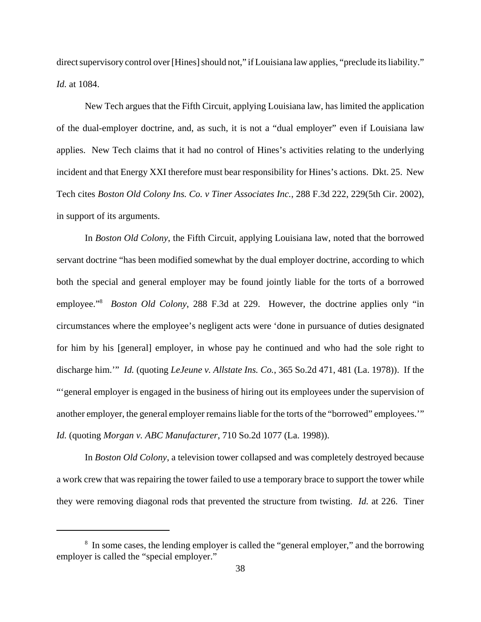direct supervisory control over [Hines] should not," if Louisiana law applies, "preclude its liability." *Id.* at 1084.

New Tech argues that the Fifth Circuit, applying Louisiana law, has limited the application of the dual-employer doctrine, and, as such, it is not a "dual employer" even if Louisiana law applies. New Tech claims that it had no control of Hines's activities relating to the underlying incident and that Energy XXI therefore must bear responsibility for Hines's actions. Dkt. 25. New Tech cites *Boston Old Colony Ins. Co. v Tiner Associates Inc.*, 288 F.3d 222, 229(5th Cir. 2002), in support of its arguments.

In *Boston Old Colony*, the Fifth Circuit, applying Louisiana law, noted that the borrowed servant doctrine "has been modified somewhat by the dual employer doctrine, according to which both the special and general employer may be found jointly liable for the torts of a borrowed employee."<sup>8</sup> *Boston Old Colony*, 288 F.3d at 229. However, the doctrine applies only "in circumstances where the employee's negligent acts were 'done in pursuance of duties designated for him by his [general] employer, in whose pay he continued and who had the sole right to discharge him.'" *Id.* (quoting *LeJeune v. Allstate Ins. Co.*, 365 So.2d 471, 481 (La. 1978)). If the "'general employer is engaged in the business of hiring out its employees under the supervision of another employer, the general employer remains liable for the torts of the "borrowed" employees.'" *Id.* (quoting *Morgan v. ABC Manufacturer*, 710 So.2d 1077 (La. 1998)).

In *Boston Old Colony*, a television tower collapsed and was completely destroyed because a work crew that was repairing the tower failed to use a temporary brace to support the tower while they were removing diagonal rods that prevented the structure from twisting. *Id.* at 226. Tiner

<sup>&</sup>lt;sup>8</sup> In some cases, the lending employer is called the "general employer," and the borrowing employer is called the "special employer."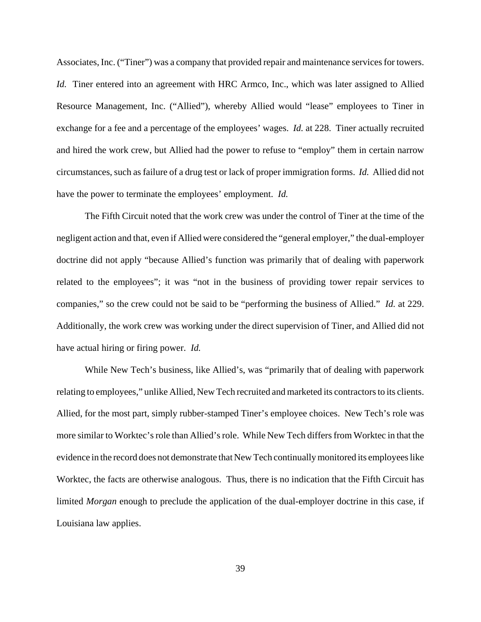Associates, Inc. ("Tiner") was a company that provided repair and maintenance services for towers. *Id.* Tiner entered into an agreement with HRC Armco, Inc., which was later assigned to Allied Resource Management, Inc. ("Allied"), whereby Allied would "lease" employees to Tiner in exchange for a fee and a percentage of the employees' wages. *Id.* at 228. Tiner actually recruited and hired the work crew, but Allied had the power to refuse to "employ" them in certain narrow circumstances, such as failure of a drug test or lack of proper immigration forms. *Id.* Allied did not have the power to terminate the employees' employment. *Id.* 

The Fifth Circuit noted that the work crew was under the control of Tiner at the time of the negligent action and that, even if Allied were considered the "general employer," the dual-employer doctrine did not apply "because Allied's function was primarily that of dealing with paperwork related to the employees"; it was "not in the business of providing tower repair services to companies," so the crew could not be said to be "performing the business of Allied." *Id.* at 229. Additionally, the work crew was working under the direct supervision of Tiner, and Allied did not have actual hiring or firing power. *Id.* 

While New Tech's business, like Allied's, was "primarily that of dealing with paperwork relating to employees," unlike Allied, New Tech recruited and marketed its contractors to its clients. Allied, for the most part, simply rubber-stamped Tiner's employee choices. New Tech's role was more similar to Worktec's role than Allied's role. While New Tech differs from Worktec in that the evidence in the record does not demonstrate that New Tech continually monitored its employees like Worktec, the facts are otherwise analogous. Thus, there is no indication that the Fifth Circuit has limited *Morgan* enough to preclude the application of the dual-employer doctrine in this case, if Louisiana law applies.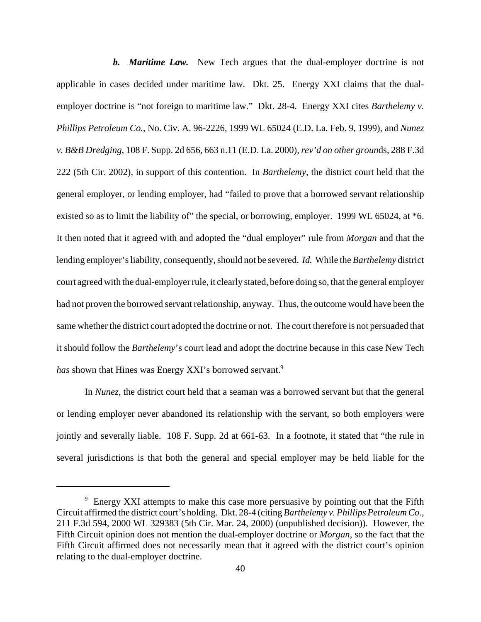*b. Maritime Law.* New Tech argues that the dual-employer doctrine is not applicable in cases decided under maritime law. Dkt. 25. Energy XXI claims that the dualemployer doctrine is "not foreign to maritime law." Dkt. 28-4. Energy XXI cites *Barthelemy v. Phillips Petroleum Co.*, No. Civ. A. 96-2226, 1999 WL 65024 (E.D. La. Feb. 9, 1999), and *Nunez v. B&B Dredging*, 108 F. Supp. 2d 656, 663 n.11 (E.D. La. 2000), *rev'd on other groun*ds, 288 F.3d 222 (5th Cir. 2002), in support of this contention. In *Barthelemy*, the district court held that the general employer, or lending employer, had "failed to prove that a borrowed servant relationship existed so as to limit the liability of" the special, or borrowing, employer. 1999 WL 65024, at \*6. It then noted that it agreed with and adopted the "dual employer" rule from *Morgan* and that the lending employer's liability, consequently, should not be severed. *Id.* While the *Barthelemy* district court agreed with the dual-employer rule, it clearly stated, before doing so, that the general employer had not proven the borrowed servant relationship, anyway. Thus, the outcome would have been the same whether the district court adopted the doctrine or not. The court therefore is not persuaded that it should follow the *Barthelemy*'s court lead and adopt the doctrine because in this case New Tech has shown that Hines was Energy XXI's borrowed servant.<sup>9</sup>

In *Nunez*, the district court held that a seaman was a borrowed servant but that the general or lending employer never abandoned its relationship with the servant, so both employers were jointly and severally liable. 108 F. Supp. 2d at 661-63. In a footnote, it stated that "the rule in several jurisdictions is that both the general and special employer may be held liable for the

<sup>&</sup>lt;sup>9</sup> Energy XXI attempts to make this case more persuasive by pointing out that the Fifth Circuit affirmed the district court's holding. Dkt. 28-4 (citing *Barthelemy v. Phillips Petroleum Co.*, 211 F.3d 594, 2000 WL 329383 (5th Cir. Mar. 24, 2000) (unpublished decision)). However, the Fifth Circuit opinion does not mention the dual-employer doctrine or *Morgan*, so the fact that the Fifth Circuit affirmed does not necessarily mean that it agreed with the district court's opinion relating to the dual-employer doctrine.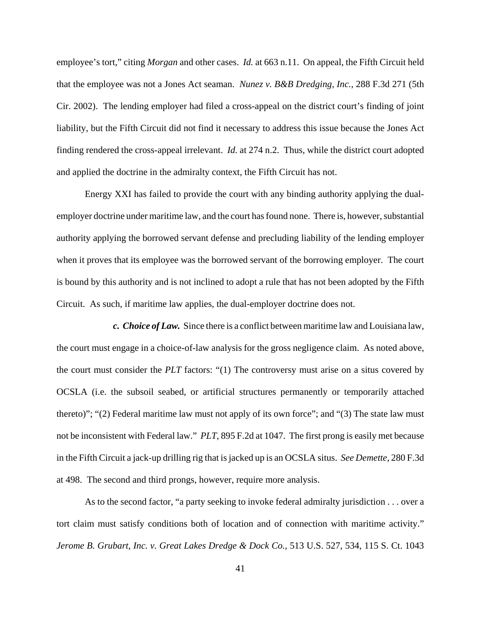employee's tort," citing *Morgan* and other cases. *Id.* at 663 n.11. On appeal, the Fifth Circuit held that the employee was not a Jones Act seaman. *Nunez v. B&B Dredging, Inc.*, 288 F.3d 271 (5th Cir. 2002). The lending employer had filed a cross-appeal on the district court's finding of joint liability, but the Fifth Circuit did not find it necessary to address this issue because the Jones Act finding rendered the cross-appeal irrelevant. *Id.* at 274 n.2. Thus, while the district court adopted and applied the doctrine in the admiralty context, the Fifth Circuit has not.

Energy XXI has failed to provide the court with any binding authority applying the dualemployer doctrine under maritime law, and the court has found none. There is, however, substantial authority applying the borrowed servant defense and precluding liability of the lending employer when it proves that its employee was the borrowed servant of the borrowing employer. The court is bound by this authority and is not inclined to adopt a rule that has not been adopted by the Fifth Circuit. As such, if maritime law applies, the dual-employer doctrine does not.

*c. Choice of Law.*Since there is a conflict between maritime law and Louisiana law, the court must engage in a choice-of-law analysis for the gross negligence claim. As noted above, the court must consider the *PLT* factors: "(1) The controversy must arise on a situs covered by OCSLA (i.e. the subsoil seabed, or artificial structures permanently or temporarily attached thereto)"; "(2) Federal maritime law must not apply of its own force"; and "(3) The state law must not be inconsistent with Federal law." *PLT*, 895 F.2d at 1047. The first prong is easily met because in the Fifth Circuit a jack-up drilling rig that is jacked up is an OCSLA situs. *See Demette*, 280 F.3d at 498. The second and third prongs, however, require more analysis.

As to the second factor, "a party seeking to invoke federal admiralty jurisdiction . . . over a tort claim must satisfy conditions both of location and of connection with maritime activity." *Jerome B. Grubart, Inc. v. Great Lakes Dredge & Dock Co.*, 513 U.S. 527, 534, 115 S. Ct. 1043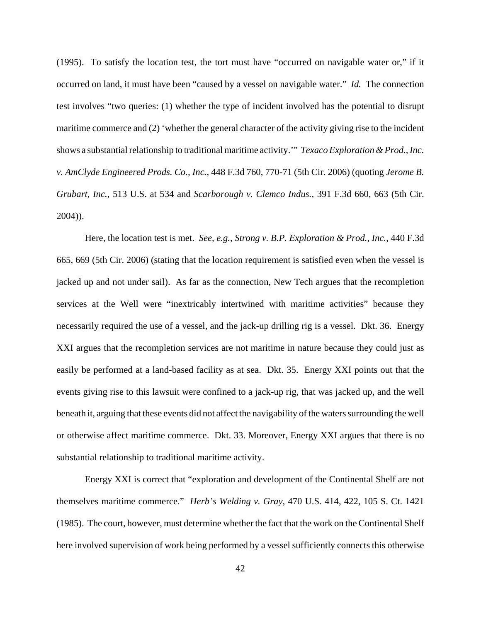(1995). To satisfy the location test, the tort must have "occurred on navigable water or," if it occurred on land, it must have been "caused by a vessel on navigable water." *Id.* The connection test involves "two queries: (1) whether the type of incident involved has the potential to disrupt maritime commerce and (2) 'whether the general character of the activity giving rise to the incident shows a substantial relationship to traditional maritime activity.'" *Texaco Exploration & Prod., Inc. v. AmClyde Engineered Prods. Co., Inc.*, 448 F.3d 760, 770-71 (5th Cir. 2006) (quoting *Jerome B. Grubart, Inc.*, 513 U.S. at 534 and *Scarborough v. Clemco Indus.*, 391 F.3d 660, 663 (5th Cir. 2004)).

Here, the location test is met. *See, e.g.*, *Strong v. B.P. Exploration & Prod., Inc.*, 440 F.3d 665, 669 (5th Cir. 2006) (stating that the location requirement is satisfied even when the vessel is jacked up and not under sail). As far as the connection, New Tech argues that the recompletion services at the Well were "inextricably intertwined with maritime activities" because they necessarily required the use of a vessel, and the jack-up drilling rig is a vessel. Dkt. 36. Energy XXI argues that the recompletion services are not maritime in nature because they could just as easily be performed at a land-based facility as at sea. Dkt. 35. Energy XXI points out that the events giving rise to this lawsuit were confined to a jack-up rig, that was jacked up, and the well beneath it, arguing that these events did not affect the navigability of the waters surrounding the well or otherwise affect maritime commerce. Dkt. 33. Moreover, Energy XXI argues that there is no substantial relationship to traditional maritime activity.

Energy XXI is correct that "exploration and development of the Continental Shelf are not themselves maritime commerce." *Herb's Welding v. Gray*, 470 U.S. 414, 422, 105 S. Ct. 1421 (1985). The court, however, must determine whether the fact that the work on the Continental Shelf here involved supervision of work being performed by a vessel sufficiently connects this otherwise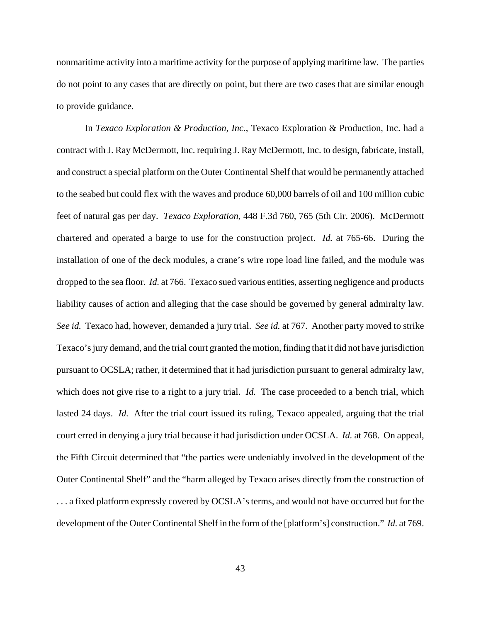nonmaritime activity into a maritime activity for the purpose of applying maritime law. The parties do not point to any cases that are directly on point, but there are two cases that are similar enough to provide guidance.

In *Texaco Exploration & Production, Inc.*, Texaco Exploration & Production, Inc. had a contract with J. Ray McDermott, Inc. requiring J. Ray McDermott, Inc. to design, fabricate, install, and construct a special platform on the Outer Continental Shelf that would be permanently attached to the seabed but could flex with the waves and produce 60,000 barrels of oil and 100 million cubic feet of natural gas per day. *Texaco Exploration*, 448 F.3d 760, 765 (5th Cir. 2006). McDermott chartered and operated a barge to use for the construction project. *Id.* at 765-66. During the installation of one of the deck modules, a crane's wire rope load line failed, and the module was dropped to the sea floor. *Id.* at 766. Texaco sued various entities, asserting negligence and products liability causes of action and alleging that the case should be governed by general admiralty law. *See id.* Texaco had, however, demanded a jury trial. *See id.* at 767. Another party moved to strike Texaco's jury demand, and the trial court granted the motion, finding that it did not have jurisdiction pursuant to OCSLA; rather, it determined that it had jurisdiction pursuant to general admiralty law, which does not give rise to a right to a jury trial. *Id.* The case proceeded to a bench trial, which lasted 24 days. *Id.* After the trial court issued its ruling, Texaco appealed, arguing that the trial court erred in denying a jury trial because it had jurisdiction under OCSLA. *Id.* at 768. On appeal, the Fifth Circuit determined that "the parties were undeniably involved in the development of the Outer Continental Shelf" and the "harm alleged by Texaco arises directly from the construction of . . . a fixed platform expressly covered by OCSLA's terms, and would not have occurred but for the development of the Outer Continental Shelf in the form of the [platform's] construction." *Id.* at 769.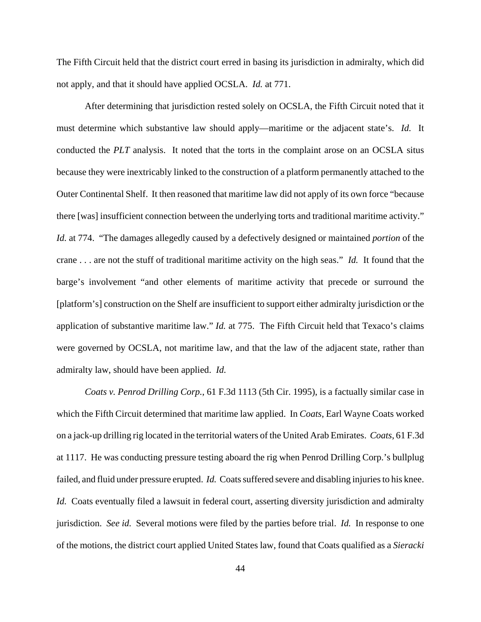The Fifth Circuit held that the district court erred in basing its jurisdiction in admiralty, which did not apply, and that it should have applied OCSLA. *Id.* at 771.

After determining that jurisdiction rested solely on OCSLA, the Fifth Circuit noted that it must determine which substantive law should apply—maritime or the adjacent state's. *Id.* It conducted the *PLT* analysis. It noted that the torts in the complaint arose on an OCSLA situs because they were inextricably linked to the construction of a platform permanently attached to the Outer Continental Shelf. It then reasoned that maritime law did not apply of its own force "because there [was] insufficient connection between the underlying torts and traditional maritime activity." *Id.* at 774. "The damages allegedly caused by a defectively designed or maintained *portion* of the crane . . . are not the stuff of traditional maritime activity on the high seas." *Id.* It found that the barge's involvement "and other elements of maritime activity that precede or surround the [platform's] construction on the Shelf are insufficient to support either admiralty jurisdiction or the application of substantive maritime law." *Id.* at 775. The Fifth Circuit held that Texaco's claims were governed by OCSLA, not maritime law, and that the law of the adjacent state, rather than admiralty law, should have been applied. *Id.*

*Coats v. Penrod Drilling Corp.*, 61 F.3d 1113 (5th Cir. 1995), is a factually similar case in which the Fifth Circuit determined that maritime law applied. In *Coats*, Earl Wayne Coats worked on a jack-up drilling rig located in the territorial waters of the United Arab Emirates. *Coats*, 61 F.3d at 1117. He was conducting pressure testing aboard the rig when Penrod Drilling Corp.'s bullplug failed, and fluid under pressure erupted. *Id.* Coats suffered severe and disabling injuries to his knee. *Id.* Coats eventually filed a lawsuit in federal court, asserting diversity jurisdiction and admiralty jurisdiction. *See id.* Several motions were filed by the parties before trial. *Id.* In response to one of the motions, the district court applied United States law, found that Coats qualified as a *Sieracki*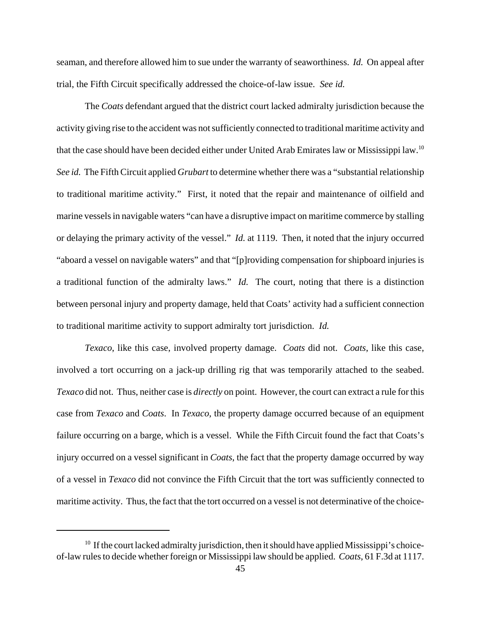seaman, and therefore allowed him to sue under the warranty of seaworthiness. *Id.* On appeal after trial, the Fifth Circuit specifically addressed the choice-of-law issue. *See id.*

The *Coats* defendant argued that the district court lacked admiralty jurisdiction because the activity giving rise to the accident was not sufficiently connected to traditional maritime activity and that the case should have been decided either under United Arab Emirates law or Mississippi law.10 *See id.* The Fifth Circuit applied *Grubart* to determine whether there was a "substantial relationship to traditional maritime activity." First, it noted that the repair and maintenance of oilfield and marine vessels in navigable waters "can have a disruptive impact on maritime commerce by stalling or delaying the primary activity of the vessel." *Id.* at 1119. Then, it noted that the injury occurred "aboard a vessel on navigable waters" and that "[p]roviding compensation for shipboard injuries is a traditional function of the admiralty laws." *Id.* The court, noting that there is a distinction between personal injury and property damage, held that Coats' activity had a sufficient connection to traditional maritime activity to support admiralty tort jurisdiction. *Id.*

*Texaco*, like this case, involved property damage. *Coats* did not. *Coats*, like this case, involved a tort occurring on a jack-up drilling rig that was temporarily attached to the seabed. *Texaco* did not. Thus, neither case is *directly* on point. However, the court can extract a rule for this case from *Texaco* and *Coats*. In *Texaco*, the property damage occurred because of an equipment failure occurring on a barge, which is a vessel. While the Fifth Circuit found the fact that Coats's injury occurred on a vessel significant in *Coats*, the fact that the property damage occurred by way of a vessel in *Texaco* did not convince the Fifth Circuit that the tort was sufficiently connected to maritime activity. Thus, the fact that the tort occurred on a vessel is not determinative of the choice-

 $10$  If the court lacked admiralty jurisdiction, then it should have applied Mississippi's choiceof-law rules to decide whether foreign or Mississippi law should be applied. *Coats*, 61 F.3d at 1117.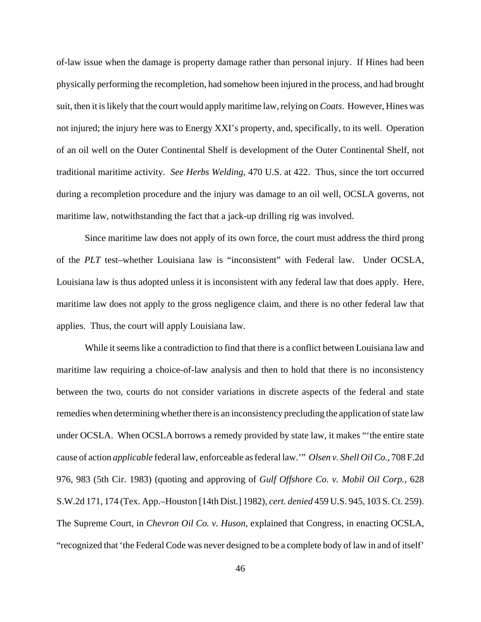of-law issue when the damage is property damage rather than personal injury. If Hines had been physically performing the recompletion, had somehow been injured in the process, and had brought suit, then it is likely that the court would apply maritime law, relying on *Coats*. However, Hines was not injured; the injury here was to Energy XXI's property, and, specifically, to its well. Operation of an oil well on the Outer Continental Shelf is development of the Outer Continental Shelf, not traditional maritime activity. *See Herbs Welding,* 470 U.S. at 422. Thus, since the tort occurred during a recompletion procedure and the injury was damage to an oil well, OCSLA governs, not maritime law, notwithstanding the fact that a jack-up drilling rig was involved.

Since maritime law does not apply of its own force, the court must address the third prong of the *PLT* test–whether Louisiana law is "inconsistent" with Federal law. Under OCSLA, Louisiana law is thus adopted unless it is inconsistent with any federal law that does apply. Here, maritime law does not apply to the gross negligence claim, and there is no other federal law that applies. Thus, the court will apply Louisiana law.

While it seems like a contradiction to find that there is a conflict between Louisiana law and maritime law requiring a choice-of-law analysis and then to hold that there is no inconsistency between the two, courts do not consider variations in discrete aspects of the federal and state remedies when determining whether there is an inconsistency precluding the application of state law under OCSLA. When OCSLA borrows a remedy provided by state law, it makes "'the entire state cause of action *applicable* federal law, enforceable as federal law.'" *Olsen v. Shell Oil Co.*, 708 F.2d 976, 983 (5th Cir. 1983) (quoting and approving of *Gulf Offshore Co. v. Mobil Oil Corp.*, 628 S.W.2d 171, 174 (Tex. App.–Houston [14th Dist.] 1982), *cert. denied* 459 U.S. 945, 103 S. Ct. 259). The Supreme Court, in *Chevron Oil Co. v. Huson*, explained that Congress, in enacting OCSLA, "recognized that 'the Federal Code was never designed to be a complete body of law in and of itself'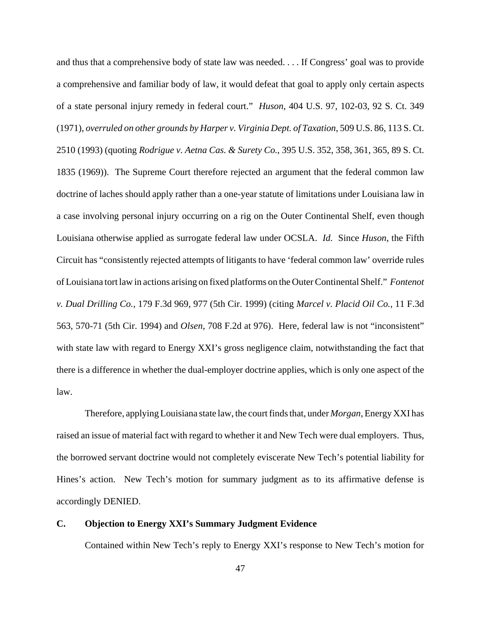and thus that a comprehensive body of state law was needed. . . . If Congress' goal was to provide a comprehensive and familiar body of law, it would defeat that goal to apply only certain aspects of a state personal injury remedy in federal court." *Huson*, 404 U.S. 97, 102-03, 92 S. Ct. 349 (1971), *overruled on other grounds by Harper v. Virginia Dept. of Taxation*, 509 U.S. 86, 113 S. Ct. 2510 (1993) (quoting *Rodrigue v. Aetna Cas. & Surety Co.*, 395 U.S. 352, 358, 361, 365, 89 S. Ct. 1835 (1969)). The Supreme Court therefore rejected an argument that the federal common law doctrine of laches should apply rather than a one-year statute of limitations under Louisiana law in a case involving personal injury occurring on a rig on the Outer Continental Shelf, even though Louisiana otherwise applied as surrogate federal law under OCSLA. *Id.* Since *Huson*, the Fifth Circuit has "consistently rejected attempts of litigants to have 'federal common law' override rules of Louisiana tort law in actions arising on fixed platforms on the Outer Continental Shelf." *Fontenot v. Dual Drilling Co.*, 179 F.3d 969, 977 (5th Cir. 1999) (citing *Marcel v. Placid Oil Co.*, 11 F.3d 563, 570-71 (5th Cir. 1994) and *Olsen*, 708 F.2d at 976). Here, federal law is not "inconsistent" with state law with regard to Energy XXI's gross negligence claim, notwithstanding the fact that there is a difference in whether the dual-employer doctrine applies, which is only one aspect of the law.

Therefore, applying Louisiana state law, the court finds that, under *Morgan*, Energy XXI has raised an issue of material fact with regard to whether it and New Tech were dual employers. Thus, the borrowed servant doctrine would not completely eviscerate New Tech's potential liability for Hines's action. New Tech's motion for summary judgment as to its affirmative defense is accordingly DENIED.

#### **C. Objection to Energy XXI's Summary Judgment Evidence**

Contained within New Tech's reply to Energy XXI's response to New Tech's motion for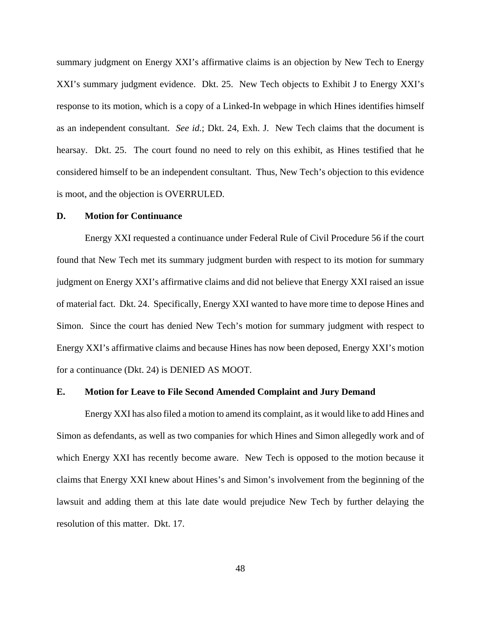summary judgment on Energy XXI's affirmative claims is an objection by New Tech to Energy XXI's summary judgment evidence. Dkt. 25. New Tech objects to Exhibit J to Energy XXI's response to its motion, which is a copy of a Linked-In webpage in which Hines identifies himself as an independent consultant. *See id.*; Dkt. 24, Exh. J. New Tech claims that the document is hearsay. Dkt. 25. The court found no need to rely on this exhibit, as Hines testified that he considered himself to be an independent consultant. Thus, New Tech's objection to this evidence is moot, and the objection is OVERRULED.

#### **D. Motion for Continuance**

Energy XXI requested a continuance under Federal Rule of Civil Procedure 56 if the court found that New Tech met its summary judgment burden with respect to its motion for summary judgment on Energy XXI's affirmative claims and did not believe that Energy XXI raised an issue of material fact. Dkt. 24. Specifically, Energy XXI wanted to have more time to depose Hines and Simon. Since the court has denied New Tech's motion for summary judgment with respect to Energy XXI's affirmative claims and because Hines has now been deposed, Energy XXI's motion for a continuance (Dkt. 24) is DENIED AS MOOT.

#### **E. Motion for Leave to File Second Amended Complaint and Jury Demand**

Energy XXI has also filed a motion to amend its complaint, as it would like to add Hines and Simon as defendants, as well as two companies for which Hines and Simon allegedly work and of which Energy XXI has recently become aware. New Tech is opposed to the motion because it claims that Energy XXI knew about Hines's and Simon's involvement from the beginning of the lawsuit and adding them at this late date would prejudice New Tech by further delaying the resolution of this matter. Dkt. 17.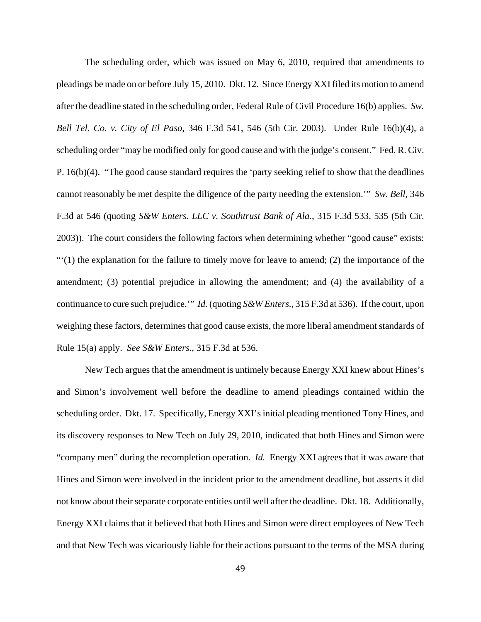The scheduling order, which was issued on May 6, 2010, required that amendments to pleadings be made on or before July 15, 2010. Dkt. 12. Since Energy XXI filed its motion to amend after the deadline stated in the scheduling order, Federal Rule of Civil Procedure 16(b) applies. *Sw. Bell Tel. Co. v. City of El Paso*, 346 F.3d 541, 546 (5th Cir. 2003). Under Rule 16(b)(4), a scheduling order "may be modified only for good cause and with the judge's consent." Fed. R. Civ. P. 16(b)(4). "The good cause standard requires the 'party seeking relief to show that the deadlines cannot reasonably be met despite the diligence of the party needing the extension.'" *Sw. Bell*, 346 F.3d at 546 (quoting *S&W Enters. LLC v. Southtrust Bank of Ala.*, 315 F.3d 533, 535 (5th Cir. 2003)). The court considers the following factors when determining whether "good cause" exists:  $\cdot\cdot\cdot(1)$  the explanation for the failure to timely move for leave to amend; (2) the importance of the amendment; (3) potential prejudice in allowing the amendment; and (4) the availability of a continuance to cure such prejudice.'" *Id.* (quoting *S&W Enters.*, 315 F.3d at 536). If the court, upon weighing these factors, determines that good cause exists, the more liberal amendment standards of Rule 15(a) apply. *See S&W Enters.*, 315 F.3d at 536.

New Tech argues that the amendment is untimely because Energy XXI knew about Hines's and Simon's involvement well before the deadline to amend pleadings contained within the scheduling order. Dkt. 17. Specifically, Energy XXI's initial pleading mentioned Tony Hines, and its discovery responses to New Tech on July 29, 2010, indicated that both Hines and Simon were "company men" during the recompletion operation. *Id.* Energy XXI agrees that it was aware that Hines and Simon were involved in the incident prior to the amendment deadline, but asserts it did not know about their separate corporate entities until well after the deadline. Dkt. 18. Additionally, Energy XXI claims that it believed that both Hines and Simon were direct employees of New Tech and that New Tech was vicariously liable for their actions pursuant to the terms of the MSA during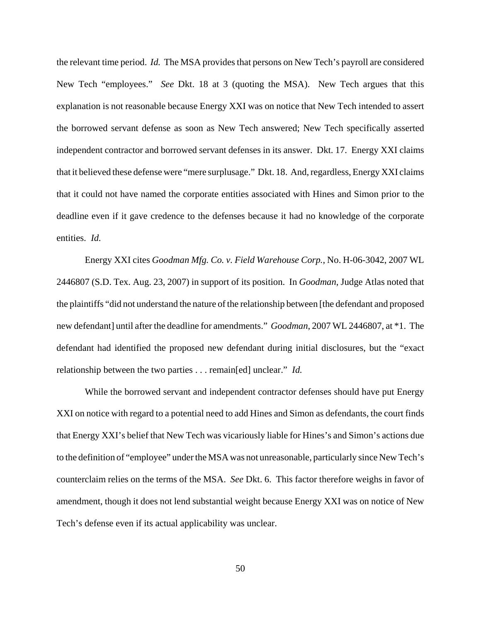the relevant time period. *Id.* The MSA provides that persons on New Tech's payroll are considered New Tech "employees." *See* Dkt. 18 at 3 (quoting the MSA). New Tech argues that this explanation is not reasonable because Energy XXI was on notice that New Tech intended to assert the borrowed servant defense as soon as New Tech answered; New Tech specifically asserted independent contractor and borrowed servant defenses in its answer. Dkt. 17. Energy XXI claims that it believed these defense were "mere surplusage." Dkt. 18. And, regardless, Energy XXI claims that it could not have named the corporate entities associated with Hines and Simon prior to the deadline even if it gave credence to the defenses because it had no knowledge of the corporate entities. *Id.*

Energy XXI cites *Goodman Mfg. Co. v. Field Warehouse Corp.*, No. H-06-3042, 2007 WL 2446807 (S.D. Tex. Aug. 23, 2007) in support of its position. In *Goodman*, Judge Atlas noted that the plaintiffs "did not understand the nature of the relationship between [the defendant and proposed new defendant] until after the deadline for amendments." *Goodman*, 2007 WL 2446807, at \*1. The defendant had identified the proposed new defendant during initial disclosures, but the "exact relationship between the two parties . . . remain[ed] unclear." *Id.* 

While the borrowed servant and independent contractor defenses should have put Energy XXI on notice with regard to a potential need to add Hines and Simon as defendants, the court finds that Energy XXI's belief that New Tech was vicariously liable for Hines's and Simon's actions due to the definition of "employee" under the MSA was not unreasonable, particularly since New Tech's counterclaim relies on the terms of the MSA. *See* Dkt. 6. This factor therefore weighs in favor of amendment, though it does not lend substantial weight because Energy XXI was on notice of New Tech's defense even if its actual applicability was unclear.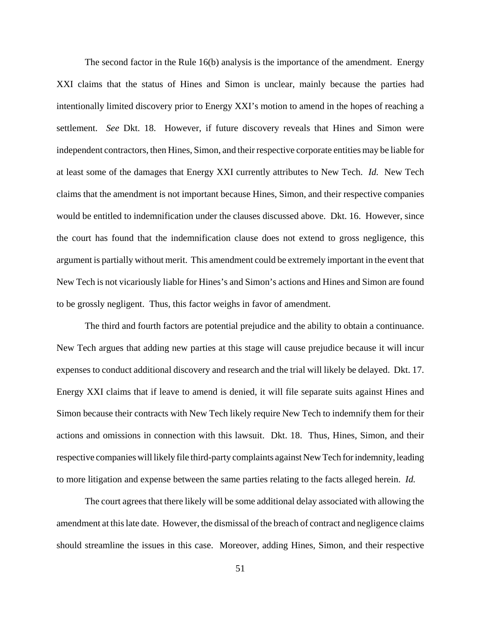The second factor in the Rule 16(b) analysis is the importance of the amendment. Energy XXI claims that the status of Hines and Simon is unclear, mainly because the parties had intentionally limited discovery prior to Energy XXI's motion to amend in the hopes of reaching a settlement. *See* Dkt. 18. However, if future discovery reveals that Hines and Simon were independent contractors, then Hines, Simon, and their respective corporate entities may be liable for at least some of the damages that Energy XXI currently attributes to New Tech. *Id.* New Tech claims that the amendment is not important because Hines, Simon, and their respective companies would be entitled to indemnification under the clauses discussed above. Dkt. 16. However, since the court has found that the indemnification clause does not extend to gross negligence, this argument is partially without merit. This amendment could be extremely important in the event that New Tech is not vicariously liable for Hines's and Simon's actions and Hines and Simon are found to be grossly negligent. Thus, this factor weighs in favor of amendment.

The third and fourth factors are potential prejudice and the ability to obtain a continuance. New Tech argues that adding new parties at this stage will cause prejudice because it will incur expenses to conduct additional discovery and research and the trial will likely be delayed. Dkt. 17. Energy XXI claims that if leave to amend is denied, it will file separate suits against Hines and Simon because their contracts with New Tech likely require New Tech to indemnify them for their actions and omissions in connection with this lawsuit. Dkt. 18. Thus, Hines, Simon, and their respective companies will likely file third-party complaints against New Tech for indemnity, leading to more litigation and expense between the same parties relating to the facts alleged herein. *Id.* 

The court agrees that there likely will be some additional delay associated with allowing the amendment at this late date. However, the dismissal of the breach of contract and negligence claims should streamline the issues in this case. Moreover, adding Hines, Simon, and their respective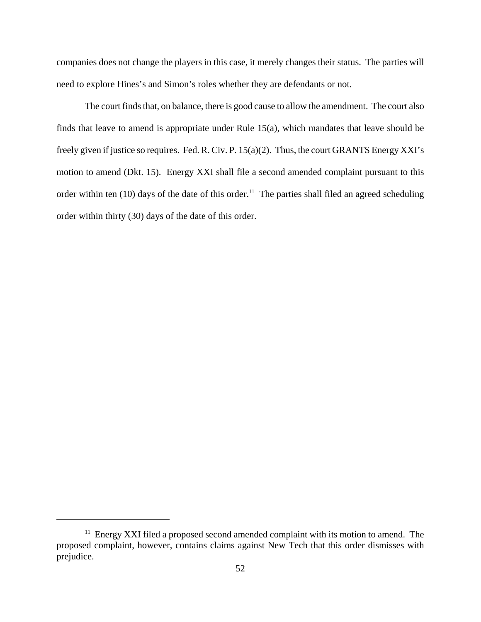companies does not change the players in this case, it merely changes their status. The parties will need to explore Hines's and Simon's roles whether they are defendants or not.

The court finds that, on balance, there is good cause to allow the amendment. The court also finds that leave to amend is appropriate under Rule 15(a), which mandates that leave should be freely given if justice so requires. Fed. R. Civ. P. 15(a)(2). Thus, the court GRANTS Energy XXI's motion to amend (Dkt. 15). Energy XXI shall file a second amended complaint pursuant to this order within ten (10) days of the date of this order.<sup>11</sup> The parties shall filed an agreed scheduling order within thirty (30) days of the date of this order.

<sup>&</sup>lt;sup>11</sup> Energy XXI filed a proposed second amended complaint with its motion to amend. The proposed complaint, however, contains claims against New Tech that this order dismisses with prejudice.